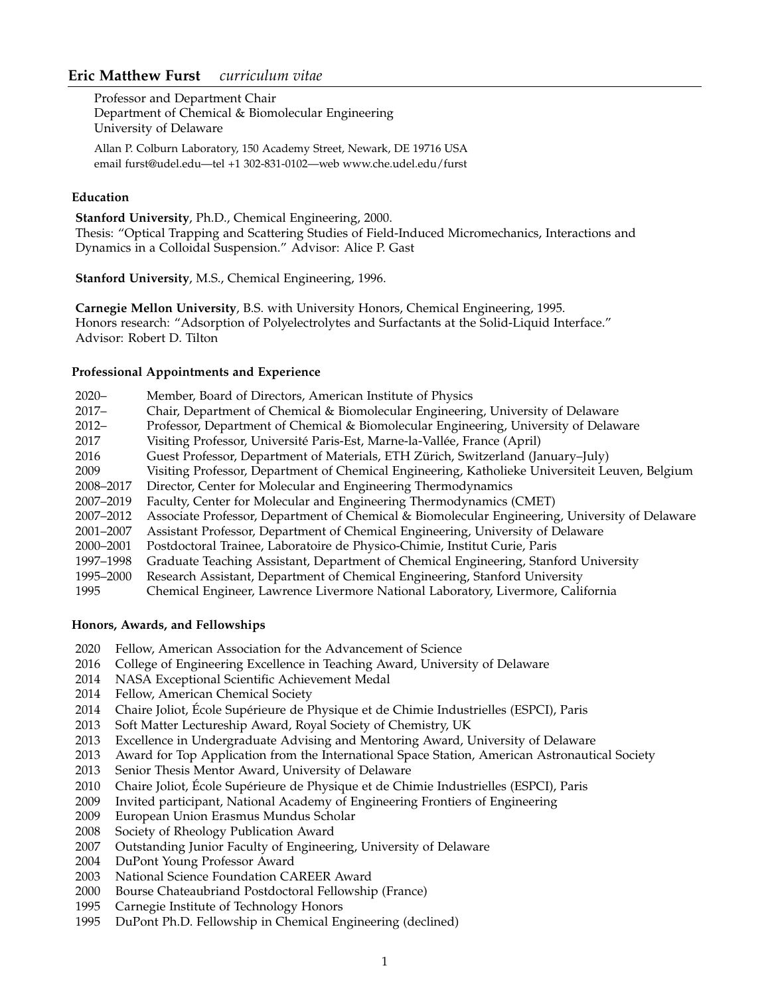# **Eric Matthew Furst** *curriculum vitae*

Professor and Department Chair Department of Chemical & Biomolecular Engineering University of Delaware

Allan P. Colburn Laboratory, 150 Academy Street, Newark, DE 19716 USA email furst@udel.edu—tel +1 302-831-0102—web www.che.udel.edu/furst

# **Education**

**Stanford University**, Ph.D., Chemical Engineering, 2000. Thesis: "Optical Trapping and Scattering Studies of Field-Induced Micromechanics, Interactions and Dynamics in a Colloidal Suspension." Advisor: Alice P. Gast

**Stanford University**, M.S., Chemical Engineering, 1996.

**Carnegie Mellon University**, B.S. with University Honors, Chemical Engineering, 1995. Honors research: "Adsorption of Polyelectrolytes and Surfactants at the Solid-Liquid Interface." Advisor: Robert D. Tilton

# **Professional Appointments and Experience**

| $2020 -$  | Member, Board of Directors, American Institute of Physics                                       |
|-----------|-------------------------------------------------------------------------------------------------|
| $2017 -$  | Chair, Department of Chemical & Biomolecular Engineering, University of Delaware                |
| $2012 -$  | Professor, Department of Chemical & Biomolecular Engineering, University of Delaware            |
| 2017      | Visiting Professor, Université Paris-Est, Marne-la-Vallée, France (April)                       |
| 2016      | Guest Professor, Department of Materials, ETH Zürich, Switzerland (January–July)                |
| 2009      | Visiting Professor, Department of Chemical Engineering, Katholieke Universiteit Leuven, Belgium |
| 2008-2017 | Director, Center for Molecular and Engineering Thermodynamics                                   |
| 2007-2019 | Faculty, Center for Molecular and Engineering Thermodynamics (CMET)                             |
| 2007-2012 | Associate Professor, Department of Chemical & Biomolecular Engineering, University of Delaware  |
| 2001-2007 | Assistant Professor, Department of Chemical Engineering, University of Delaware                 |
| 2000–2001 | Postdoctoral Trainee, Laboratoire de Physico-Chimie, Institut Curie, Paris                      |
| 1997–1998 | Graduate Teaching Assistant, Department of Chemical Engineering, Stanford University            |
| 1995-2000 | Research Assistant, Department of Chemical Engineering, Stanford University                     |
| 1995      | Chemical Engineer, Lawrence Livermore National Laboratory, Livermore, California                |

# **Honors, Awards, and Fellowships**

- 2020 Fellow, American Association for the Advancement of Science
- 2016 College of Engineering Excellence in Teaching Award, University of Delaware
- 2014 NASA Exceptional Scientific Achievement Medal
- 2014 Fellow, American Chemical Society
- 2014 Chaire Joliot, École Supérieure de Physique et de Chimie Industrielles (ESPCI), Paris<br>2013 Soft Matter Lectureship Award, Roval Society of Chemistry, UK
- Soft Matter Lectureship Award, Royal Society of Chemistry, UK
- 2013 Excellence in Undergraduate Advising and Mentoring Award, University of Delaware
- 2013 Award for Top Application from the International Space Station, American Astronautical Society
- 2013 Senior Thesis Mentor Award, University of Delaware
- 2010 Chaire Joliot, École Supérieure de Physique et de Chimie Industrielles (ESPCI), Paris
- 2009 Invited participant, National Academy of Engineering Frontiers of Engineering
- 2009 European Union Erasmus Mundus Scholar
- 2008 Society of Rheology Publication Award
- 2007 Outstanding Junior Faculty of Engineering, University of Delaware
- 2004 DuPont Young Professor Award
- 2003 National Science Foundation CAREER Award
- 2000 Bourse Chateaubriand Postdoctoral Fellowship (France)
- 1995 Carnegie Institute of Technology Honors
- 1995 DuPont Ph.D. Fellowship in Chemical Engineering (declined)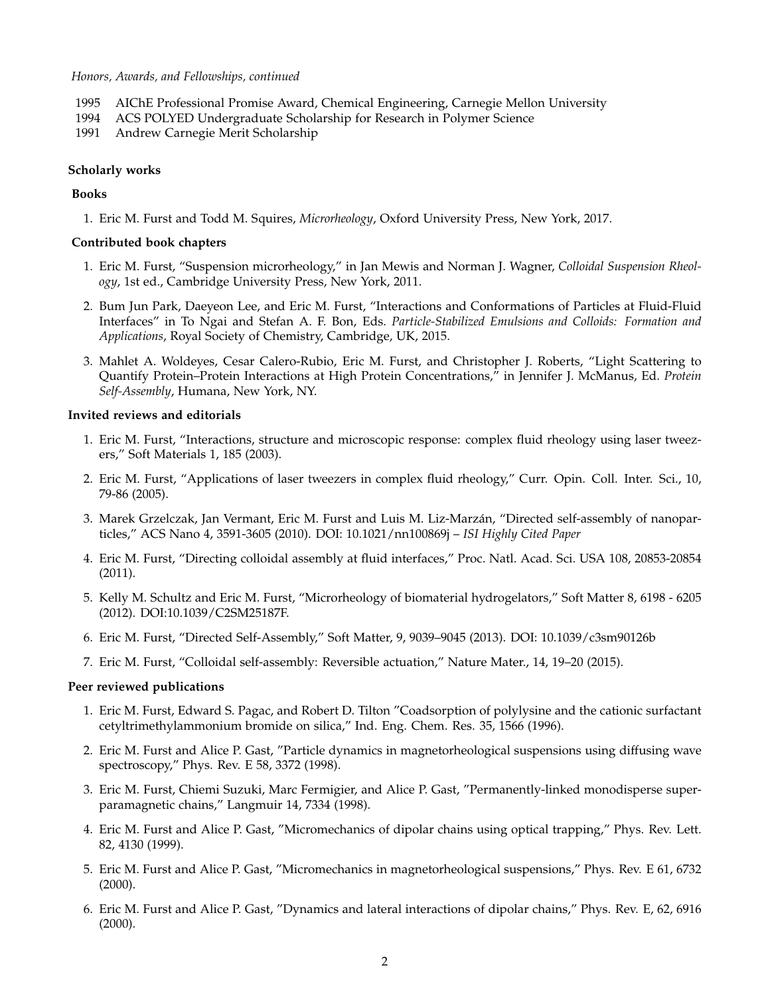# *Honors, Awards, and Fellowships, continued*

- 1995 AIChE Professional Promise Award, Chemical Engineering, Carnegie Mellon University
- 1994 ACS POLYED Undergraduate Scholarship for Research in Polymer Science
- 1991 Andrew Carnegie Merit Scholarship

# **Scholarly works**

# **Books**

1. Eric M. Furst and Todd M. Squires, *Microrheology*, Oxford University Press, New York, 2017.

### **Contributed book chapters**

- 1. Eric M. Furst, "Suspension microrheology," in Jan Mewis and Norman J. Wagner, *Colloidal Suspension Rheology*, 1st ed., Cambridge University Press, New York, 2011.
- 2. Bum Jun Park, Daeyeon Lee, and Eric M. Furst, "Interactions and Conformations of Particles at Fluid-Fluid Interfaces" in To Ngai and Stefan A. F. Bon, Eds. *Particle-Stabilized Emulsions and Colloids: Formation and Applications*, Royal Society of Chemistry, Cambridge, UK, 2015.
- 3. Mahlet A. Woldeyes, Cesar Calero-Rubio, Eric M. Furst, and Christopher J. Roberts, "Light Scattering to Quantify Protein–Protein Interactions at High Protein Concentrations," in Jennifer J. McManus, Ed. *Protein Self-Assembly*, Humana, New York, NY.

# **Invited reviews and editorials**

- 1. Eric M. Furst, "Interactions, structure and microscopic response: complex fluid rheology using laser tweezers," Soft Materials 1, 185 (2003).
- 2. Eric M. Furst, "Applications of laser tweezers in complex fluid rheology," Curr. Opin. Coll. Inter. Sci., 10, 79-86 (2005).
- 3. Marek Grzelczak, Jan Vermant, Eric M. Furst and Luis M. Liz-Marzán, "Directed self-assembly of nanoparticles," ACS Nano 4, 3591-3605 (2010). DOI: 10.1021/nn100869j – *ISI Highly Cited Paper*
- 4. Eric M. Furst, "Directing colloidal assembly at fluid interfaces," Proc. Natl. Acad. Sci. USA 108, 20853-20854 (2011).
- 5. Kelly M. Schultz and Eric M. Furst, "Microrheology of biomaterial hydrogelators," Soft Matter 8, 6198 6205 (2012). DOI:10.1039/C2SM25187F.
- 6. Eric M. Furst, "Directed Self-Assembly," Soft Matter, 9, 9039–9045 (2013). DOI: 10.1039/c3sm90126b
- 7. Eric M. Furst, "Colloidal self-assembly: Reversible actuation," Nature Mater., 14, 19–20 (2015).

#### **Peer reviewed publications**

- 1. Eric M. Furst, Edward S. Pagac, and Robert D. Tilton "Coadsorption of polylysine and the cationic surfactant cetyltrimethylammonium bromide on silica," Ind. Eng. Chem. Res. 35, 1566 (1996).
- 2. Eric M. Furst and Alice P. Gast, "Particle dynamics in magnetorheological suspensions using diffusing wave spectroscopy," Phys. Rev. E 58, 3372 (1998).
- 3. Eric M. Furst, Chiemi Suzuki, Marc Fermigier, and Alice P. Gast, "Permanently-linked monodisperse superparamagnetic chains," Langmuir 14, 7334 (1998).
- 4. Eric M. Furst and Alice P. Gast, "Micromechanics of dipolar chains using optical trapping," Phys. Rev. Lett. 82, 4130 (1999).
- 5. Eric M. Furst and Alice P. Gast, "Micromechanics in magnetorheological suspensions," Phys. Rev. E 61, 6732 (2000).
- 6. Eric M. Furst and Alice P. Gast, "Dynamics and lateral interactions of dipolar chains," Phys. Rev. E, 62, 6916 (2000).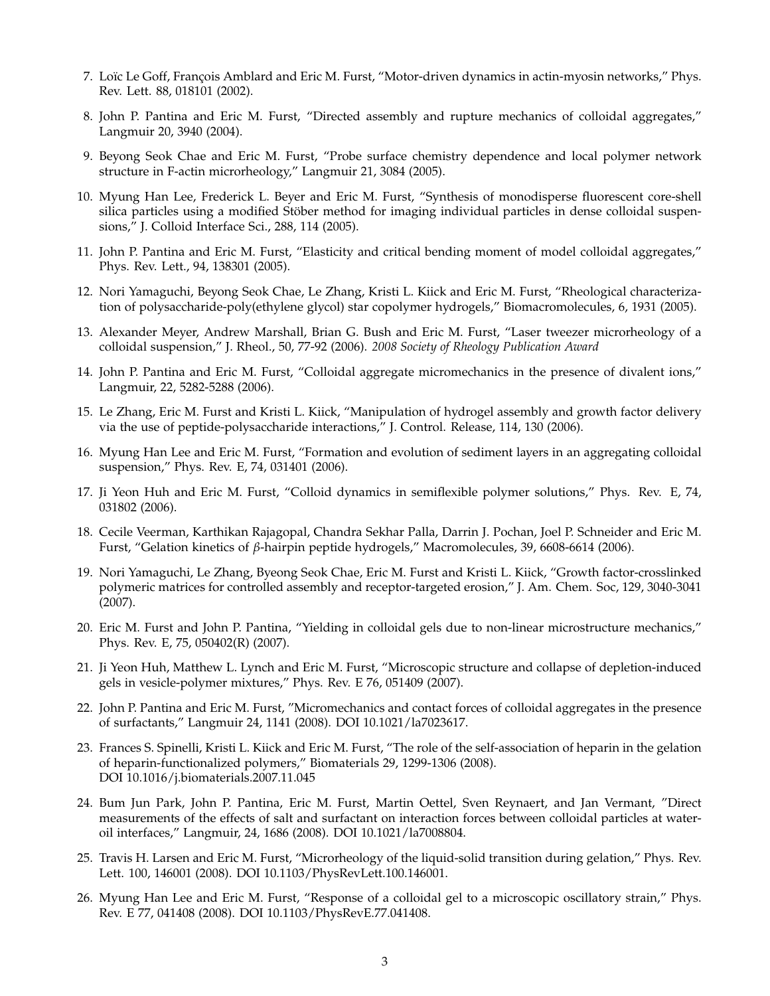- 7. Loïc Le Goff, François Amblard and Eric M. Furst, "Motor-driven dynamics in actin-myosin networks," Phys. Rev. Lett. 88, 018101 (2002).
- 8. John P. Pantina and Eric M. Furst, "Directed assembly and rupture mechanics of colloidal aggregates," Langmuir 20, 3940 (2004).
- 9. Beyong Seok Chae and Eric M. Furst, "Probe surface chemistry dependence and local polymer network structure in F-actin microrheology," Langmuir 21, 3084 (2005).
- 10. Myung Han Lee, Frederick L. Beyer and Eric M. Furst, "Synthesis of monodisperse fluorescent core-shell silica particles using a modified Stöber method for imaging individual particles in dense colloidal suspensions," J. Colloid Interface Sci., 288, 114 (2005).
- 11. John P. Pantina and Eric M. Furst, "Elasticity and critical bending moment of model colloidal aggregates," Phys. Rev. Lett., 94, 138301 (2005).
- 12. Nori Yamaguchi, Beyong Seok Chae, Le Zhang, Kristi L. Kiick and Eric M. Furst, "Rheological characterization of polysaccharide-poly(ethylene glycol) star copolymer hydrogels," Biomacromolecules, 6, 1931 (2005).
- 13. Alexander Meyer, Andrew Marshall, Brian G. Bush and Eric M. Furst, "Laser tweezer microrheology of a colloidal suspension," J. Rheol., 50, 77-92 (2006). *2008 Society of Rheology Publication Award*
- 14. John P. Pantina and Eric M. Furst, "Colloidal aggregate micromechanics in the presence of divalent ions," Langmuir, 22, 5282-5288 (2006).
- 15. Le Zhang, Eric M. Furst and Kristi L. Kiick, "Manipulation of hydrogel assembly and growth factor delivery via the use of peptide-polysaccharide interactions," J. Control. Release, 114, 130 (2006).
- 16. Myung Han Lee and Eric M. Furst, "Formation and evolution of sediment layers in an aggregating colloidal suspension," Phys. Rev. E, 74, 031401 (2006).
- 17. Ji Yeon Huh and Eric M. Furst, "Colloid dynamics in semiflexible polymer solutions," Phys. Rev. E, 74, 031802 (2006).
- 18. Cecile Veerman, Karthikan Rajagopal, Chandra Sekhar Palla, Darrin J. Pochan, Joel P. Schneider and Eric M. Furst, "Gelation kinetics of *β*-hairpin peptide hydrogels," Macromolecules, 39, 6608-6614 (2006).
- 19. Nori Yamaguchi, Le Zhang, Byeong Seok Chae, Eric M. Furst and Kristi L. Kiick, "Growth factor-crosslinked polymeric matrices for controlled assembly and receptor-targeted erosion," J. Am. Chem. Soc, 129, 3040-3041 (2007).
- 20. Eric M. Furst and John P. Pantina, "Yielding in colloidal gels due to non-linear microstructure mechanics," Phys. Rev. E, 75, 050402(R) (2007).
- 21. Ji Yeon Huh, Matthew L. Lynch and Eric M. Furst, "Microscopic structure and collapse of depletion-induced gels in vesicle-polymer mixtures," Phys. Rev. E 76, 051409 (2007).
- 22. John P. Pantina and Eric M. Furst, "Micromechanics and contact forces of colloidal aggregates in the presence of surfactants," Langmuir 24, 1141 (2008). DOI 10.1021/la7023617.
- 23. Frances S. Spinelli, Kristi L. Kiick and Eric M. Furst, "The role of the self-association of heparin in the gelation of heparin-functionalized polymers," Biomaterials 29, 1299-1306 (2008). DOI 10.1016/j.biomaterials.2007.11.045
- 24. Bum Jun Park, John P. Pantina, Eric M. Furst, Martin Oettel, Sven Reynaert, and Jan Vermant, "Direct measurements of the effects of salt and surfactant on interaction forces between colloidal particles at wateroil interfaces," Langmuir, 24, 1686 (2008). DOI 10.1021/la7008804.
- 25. Travis H. Larsen and Eric M. Furst, "Microrheology of the liquid-solid transition during gelation," Phys. Rev. Lett. 100, 146001 (2008). DOI 10.1103/PhysRevLett.100.146001.
- 26. Myung Han Lee and Eric M. Furst, "Response of a colloidal gel to a microscopic oscillatory strain," Phys. Rev. E 77, 041408 (2008). DOI 10.1103/PhysRevE.77.041408.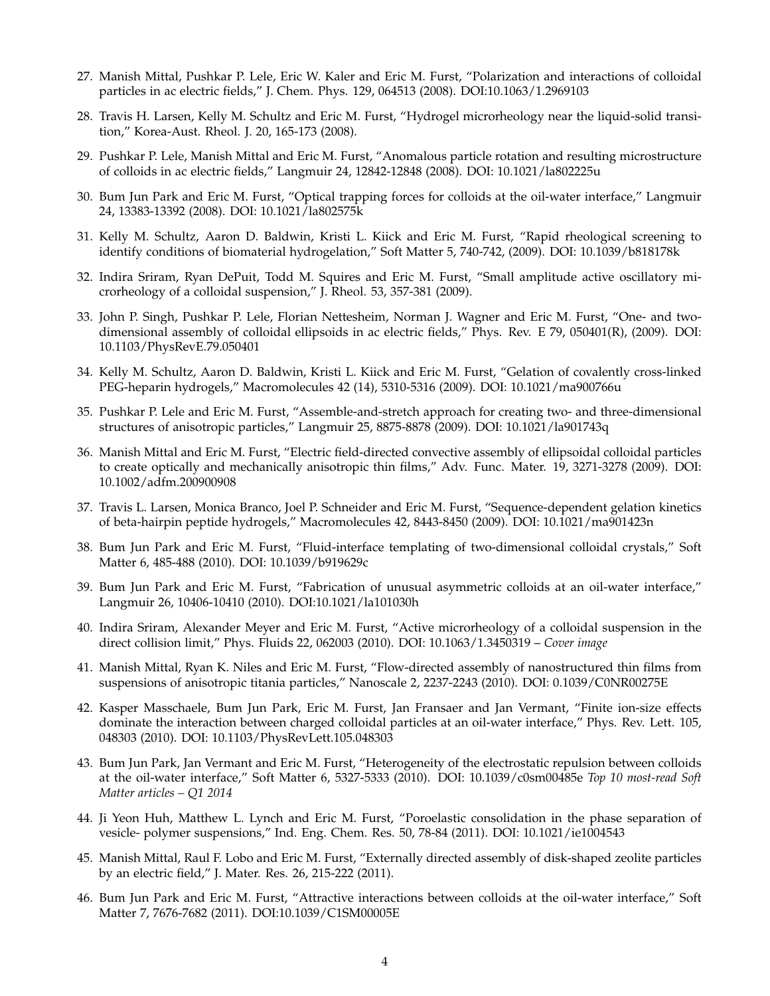- 27. Manish Mittal, Pushkar P. Lele, Eric W. Kaler and Eric M. Furst, "Polarization and interactions of colloidal particles in ac electric fields," J. Chem. Phys. 129, 064513 (2008). DOI:10.1063/1.2969103
- 28. Travis H. Larsen, Kelly M. Schultz and Eric M. Furst, "Hydrogel microrheology near the liquid-solid transition," Korea-Aust. Rheol. J. 20, 165-173 (2008).
- 29. Pushkar P. Lele, Manish Mittal and Eric M. Furst, "Anomalous particle rotation and resulting microstructure of colloids in ac electric fields," Langmuir 24, 12842-12848 (2008). DOI: 10.1021/la802225u
- 30. Bum Jun Park and Eric M. Furst, "Optical trapping forces for colloids at the oil-water interface," Langmuir 24, 13383-13392 (2008). DOI: 10.1021/la802575k
- 31. Kelly M. Schultz, Aaron D. Baldwin, Kristi L. Kiick and Eric M. Furst, "Rapid rheological screening to identify conditions of biomaterial hydrogelation," Soft Matter 5, 740-742, (2009). DOI: 10.1039/b818178k
- 32. Indira Sriram, Ryan DePuit, Todd M. Squires and Eric M. Furst, "Small amplitude active oscillatory microrheology of a colloidal suspension," J. Rheol. 53, 357-381 (2009).
- 33. John P. Singh, Pushkar P. Lele, Florian Nettesheim, Norman J. Wagner and Eric M. Furst, "One- and twodimensional assembly of colloidal ellipsoids in ac electric fields," Phys. Rev. E 79, 050401(R), (2009). DOI: 10.1103/PhysRevE.79.050401
- 34. Kelly M. Schultz, Aaron D. Baldwin, Kristi L. Kiick and Eric M. Furst, "Gelation of covalently cross-linked PEG-heparin hydrogels," Macromolecules 42 (14), 5310-5316 (2009). DOI: 10.1021/ma900766u
- 35. Pushkar P. Lele and Eric M. Furst, "Assemble-and-stretch approach for creating two- and three-dimensional structures of anisotropic particles," Langmuir 25, 8875-8878 (2009). DOI: 10.1021/la901743q
- 36. Manish Mittal and Eric M. Furst, "Electric field-directed convective assembly of ellipsoidal colloidal particles to create optically and mechanically anisotropic thin films," Adv. Func. Mater. 19, 3271-3278 (2009). DOI: 10.1002/adfm.200900908
- 37. Travis L. Larsen, Monica Branco, Joel P. Schneider and Eric M. Furst, "Sequence-dependent gelation kinetics of beta-hairpin peptide hydrogels," Macromolecules 42, 8443-8450 (2009). DOI: 10.1021/ma901423n
- 38. Bum Jun Park and Eric M. Furst, "Fluid-interface templating of two-dimensional colloidal crystals," Soft Matter 6, 485-488 (2010). DOI: 10.1039/b919629c
- 39. Bum Jun Park and Eric M. Furst, "Fabrication of unusual asymmetric colloids at an oil-water interface," Langmuir 26, 10406-10410 (2010). DOI:10.1021/la101030h
- 40. Indira Sriram, Alexander Meyer and Eric M. Furst, "Active microrheology of a colloidal suspension in the direct collision limit," Phys. Fluids 22, 062003 (2010). DOI: 10.1063/1.3450319 – *Cover image*
- 41. Manish Mittal, Ryan K. Niles and Eric M. Furst, "Flow-directed assembly of nanostructured thin films from suspensions of anisotropic titania particles," Nanoscale 2, 2237-2243 (2010). DOI: 0.1039/C0NR00275E
- 42. Kasper Masschaele, Bum Jun Park, Eric M. Furst, Jan Fransaer and Jan Vermant, "Finite ion-size effects dominate the interaction between charged colloidal particles at an oil-water interface," Phys. Rev. Lett. 105, 048303 (2010). DOI: 10.1103/PhysRevLett.105.048303
- 43. Bum Jun Park, Jan Vermant and Eric M. Furst, "Heterogeneity of the electrostatic repulsion between colloids at the oil-water interface," Soft Matter 6, 5327-5333 (2010). DOI: 10.1039/c0sm00485e *Top 10 most-read Soft Matter articles – Q1 2014*
- 44. Ji Yeon Huh, Matthew L. Lynch and Eric M. Furst, "Poroelastic consolidation in the phase separation of vesicle- polymer suspensions," Ind. Eng. Chem. Res. 50, 78-84 (2011). DOI: 10.1021/ie1004543
- 45. Manish Mittal, Raul F. Lobo and Eric M. Furst, "Externally directed assembly of disk-shaped zeolite particles by an electric field," J. Mater. Res. 26, 215-222 (2011).
- 46. Bum Jun Park and Eric M. Furst, "Attractive interactions between colloids at the oil-water interface," Soft Matter 7, 7676-7682 (2011). DOI:10.1039/C1SM00005E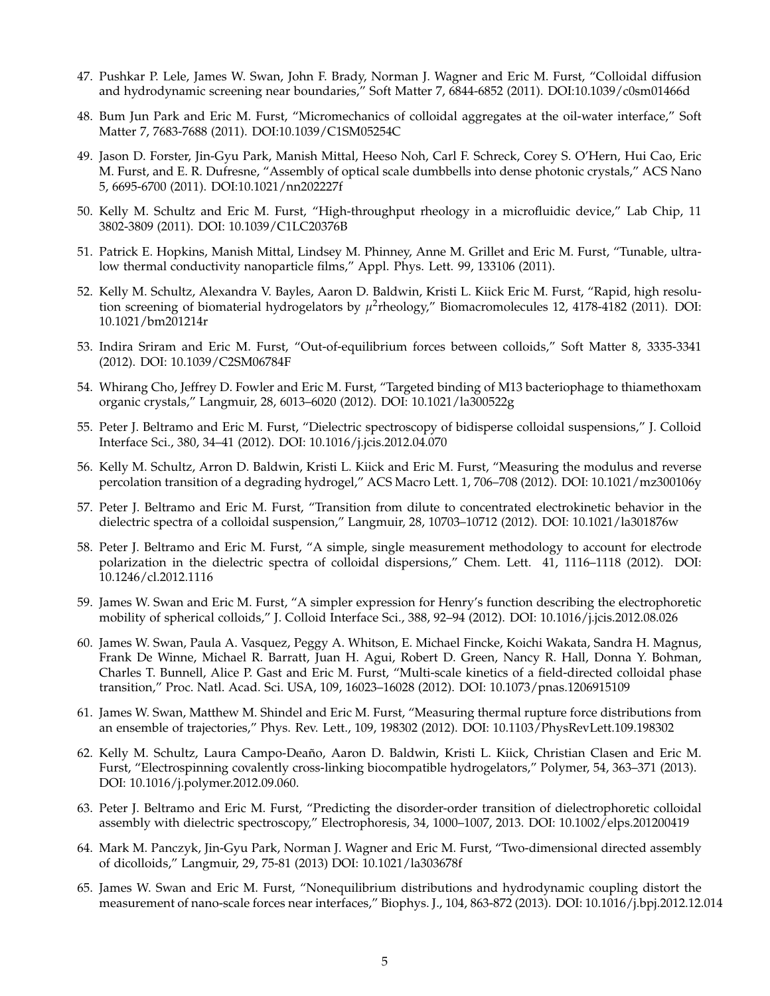- 47. Pushkar P. Lele, James W. Swan, John F. Brady, Norman J. Wagner and Eric M. Furst, "Colloidal diffusion and hydrodynamic screening near boundaries," Soft Matter 7, 6844-6852 (2011). DOI:10.1039/c0sm01466d
- 48. Bum Jun Park and Eric M. Furst, "Micromechanics of colloidal aggregates at the oil-water interface," Soft Matter 7, 7683-7688 (2011). DOI:10.1039/C1SM05254C
- 49. Jason D. Forster, Jin-Gyu Park, Manish Mittal, Heeso Noh, Carl F. Schreck, Corey S. O'Hern, Hui Cao, Eric M. Furst, and E. R. Dufresne, "Assembly of optical scale dumbbells into dense photonic crystals," ACS Nano 5, 6695-6700 (2011). DOI:10.1021/nn202227f
- 50. Kelly M. Schultz and Eric M. Furst, "High-throughput rheology in a microfluidic device," Lab Chip, 11 3802-3809 (2011). DOI: 10.1039/C1LC20376B
- 51. Patrick E. Hopkins, Manish Mittal, Lindsey M. Phinney, Anne M. Grillet and Eric M. Furst, "Tunable, ultralow thermal conductivity nanoparticle films," Appl. Phys. Lett. 99, 133106 (2011).
- 52. Kelly M. Schultz, Alexandra V. Bayles, Aaron D. Baldwin, Kristi L. Kiick Eric M. Furst, "Rapid, high resolution screening of biomaterial hydrogelators by  $\mu^2$ rheology," Biomacromolecules 12, 4178-4182 (2011). DOI: 10.1021/bm201214r
- 53. Indira Sriram and Eric M. Furst, "Out-of-equilibrium forces between colloids," Soft Matter 8, 3335-3341 (2012). DOI: 10.1039/C2SM06784F
- 54. Whirang Cho, Jeffrey D. Fowler and Eric M. Furst, "Targeted binding of M13 bacteriophage to thiamethoxam organic crystals," Langmuir, 28, 6013–6020 (2012). DOI: 10.1021/la300522g
- 55. Peter J. Beltramo and Eric M. Furst, "Dielectric spectroscopy of bidisperse colloidal suspensions," J. Colloid Interface Sci., 380, 34–41 (2012). DOI: 10.1016/j.jcis.2012.04.070
- 56. Kelly M. Schultz, Arron D. Baldwin, Kristi L. Kiick and Eric M. Furst, "Measuring the modulus and reverse percolation transition of a degrading hydrogel," ACS Macro Lett. 1, 706–708 (2012). DOI: 10.1021/mz300106y
- 57. Peter J. Beltramo and Eric M. Furst, "Transition from dilute to concentrated electrokinetic behavior in the dielectric spectra of a colloidal suspension," Langmuir, 28, 10703–10712 (2012). DOI: 10.1021/la301876w
- 58. Peter J. Beltramo and Eric M. Furst, "A simple, single measurement methodology to account for electrode polarization in the dielectric spectra of colloidal dispersions," Chem. Lett. 41, 1116–1118 (2012). DOI: 10.1246/cl.2012.1116
- 59. James W. Swan and Eric M. Furst, "A simpler expression for Henry's function describing the electrophoretic mobility of spherical colloids," J. Colloid Interface Sci., 388, 92–94 (2012). DOI: 10.1016/j.jcis.2012.08.026
- 60. James W. Swan, Paula A. Vasquez, Peggy A. Whitson, E. Michael Fincke, Koichi Wakata, Sandra H. Magnus, Frank De Winne, Michael R. Barratt, Juan H. Agui, Robert D. Green, Nancy R. Hall, Donna Y. Bohman, Charles T. Bunnell, Alice P. Gast and Eric M. Furst, "Multi-scale kinetics of a field-directed colloidal phase transition," Proc. Natl. Acad. Sci. USA, 109, 16023–16028 (2012). DOI: 10.1073/pnas.1206915109
- 61. James W. Swan, Matthew M. Shindel and Eric M. Furst, "Measuring thermal rupture force distributions from an ensemble of trajectories," Phys. Rev. Lett., 109, 198302 (2012). DOI: 10.1103/PhysRevLett.109.198302
- 62. Kelly M. Schultz, Laura Campo-Deaño, Aaron D. Baldwin, Kristi L. Kiick, Christian Clasen and Eric M. Furst, "Electrospinning covalently cross-linking biocompatible hydrogelators," Polymer, 54, 363–371 (2013). DOI: 10.1016/j.polymer.2012.09.060.
- 63. Peter J. Beltramo and Eric M. Furst, "Predicting the disorder-order transition of dielectrophoretic colloidal assembly with dielectric spectroscopy," Electrophoresis, 34, 1000–1007, 2013. DOI: 10.1002/elps.201200419
- 64. Mark M. Panczyk, Jin-Gyu Park, Norman J. Wagner and Eric M. Furst, "Two-dimensional directed assembly of dicolloids," Langmuir, 29, 75-81 (2013) DOI: 10.1021/la303678f
- 65. James W. Swan and Eric M. Furst, "Nonequilibrium distributions and hydrodynamic coupling distort the measurement of nano-scale forces near interfaces," Biophys. J., 104, 863-872 (2013). DOI: 10.1016/j.bpj.2012.12.014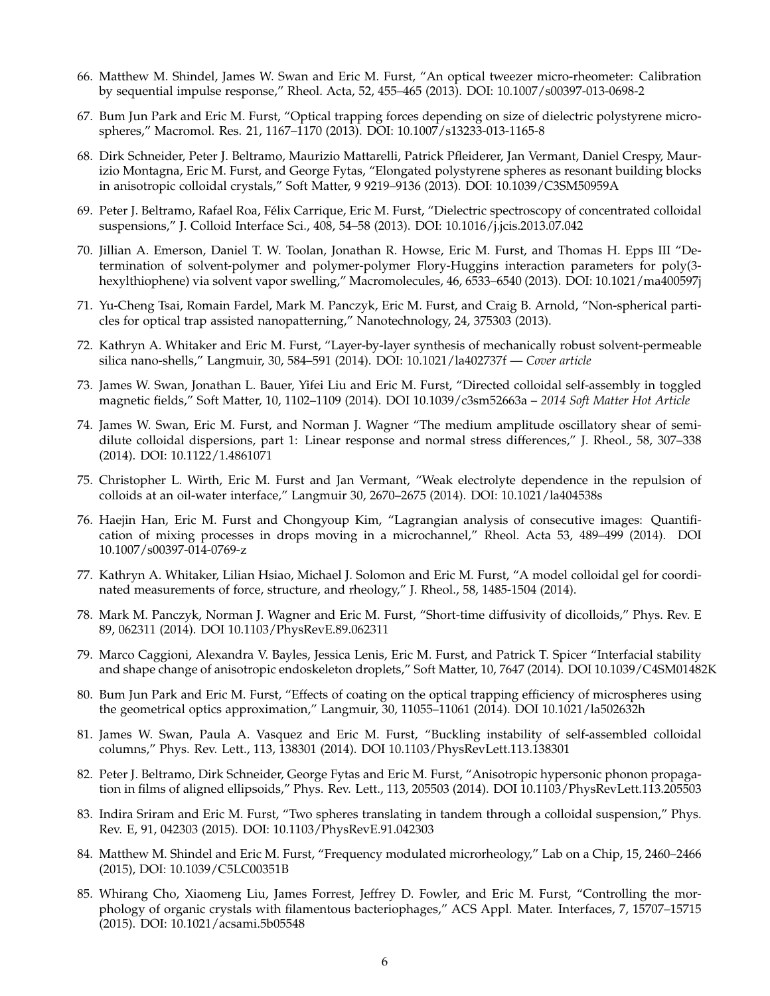- 66. Matthew M. Shindel, James W. Swan and Eric M. Furst, "An optical tweezer micro-rheometer: Calibration by sequential impulse response," Rheol. Acta, 52, 455–465 (2013). DOI: 10.1007/s00397-013-0698-2
- 67. Bum Jun Park and Eric M. Furst, "Optical trapping forces depending on size of dielectric polystyrene microspheres," Macromol. Res. 21, 1167–1170 (2013). DOI: 10.1007/s13233-013-1165-8
- 68. Dirk Schneider, Peter J. Beltramo, Maurizio Mattarelli, Patrick Pfleiderer, Jan Vermant, Daniel Crespy, Maurizio Montagna, Eric M. Furst, and George Fytas, "Elongated polystyrene spheres as resonant building blocks in anisotropic colloidal crystals," Soft Matter, 9 9219–9136 (2013). DOI: 10.1039/C3SM50959A
- 69. Peter J. Beltramo, Rafael Roa, Félix Carrique, Eric M. Furst, "Dielectric spectroscopy of concentrated colloidal suspensions," J. Colloid Interface Sci., 408, 54–58 (2013). DOI: 10.1016/j.jcis.2013.07.042
- 70. Jillian A. Emerson, Daniel T. W. Toolan, Jonathan R. Howse, Eric M. Furst, and Thomas H. Epps III "Determination of solvent-polymer and polymer-polymer Flory-Huggins interaction parameters for poly(3 hexylthiophene) via solvent vapor swelling," Macromolecules, 46, 6533–6540 (2013). DOI: 10.1021/ma400597j
- 71. Yu-Cheng Tsai, Romain Fardel, Mark M. Panczyk, Eric M. Furst, and Craig B. Arnold, "Non-spherical particles for optical trap assisted nanopatterning," Nanotechnology, 24, 375303 (2013).
- 72. Kathryn A. Whitaker and Eric M. Furst, "Layer-by-layer synthesis of mechanically robust solvent-permeable silica nano-shells," Langmuir, 30, 584–591 (2014). DOI: 10.1021/la402737f — *Cover article*
- 73. James W. Swan, Jonathan L. Bauer, Yifei Liu and Eric M. Furst, "Directed colloidal self-assembly in toggled magnetic fields," Soft Matter, 10, 1102–1109 (2014). DOI 10.1039/c3sm52663a – *2014 Soft Matter Hot Article*
- 74. James W. Swan, Eric M. Furst, and Norman J. Wagner "The medium amplitude oscillatory shear of semidilute colloidal dispersions, part 1: Linear response and normal stress differences," J. Rheol., 58, 307–338 (2014). DOI: 10.1122/1.4861071
- 75. Christopher L. Wirth, Eric M. Furst and Jan Vermant, "Weak electrolyte dependence in the repulsion of colloids at an oil-water interface," Langmuir 30, 2670–2675 (2014). DOI: 10.1021/la404538s
- 76. Haejin Han, Eric M. Furst and Chongyoup Kim, "Lagrangian analysis of consecutive images: Quantification of mixing processes in drops moving in a microchannel," Rheol. Acta 53, 489–499 (2014). DOI 10.1007/s00397-014-0769-z
- 77. Kathryn A. Whitaker, Lilian Hsiao, Michael J. Solomon and Eric M. Furst, "A model colloidal gel for coordinated measurements of force, structure, and rheology," J. Rheol., 58, 1485-1504 (2014).
- 78. Mark M. Panczyk, Norman J. Wagner and Eric M. Furst, "Short-time diffusivity of dicolloids," Phys. Rev. E 89, 062311 (2014). DOI 10.1103/PhysRevE.89.062311
- 79. Marco Caggioni, Alexandra V. Bayles, Jessica Lenis, Eric M. Furst, and Patrick T. Spicer "Interfacial stability and shape change of anisotropic endoskeleton droplets," Soft Matter, 10, 7647 (2014). DOI 10.1039/C4SM01482K
- 80. Bum Jun Park and Eric M. Furst, "Effects of coating on the optical trapping efficiency of microspheres using the geometrical optics approximation," Langmuir, 30, 11055–11061 (2014). DOI 10.1021/la502632h
- 81. James W. Swan, Paula A. Vasquez and Eric M. Furst, "Buckling instability of self-assembled colloidal columns," Phys. Rev. Lett., 113, 138301 (2014). DOI 10.1103/PhysRevLett.113.138301
- 82. Peter J. Beltramo, Dirk Schneider, George Fytas and Eric M. Furst, "Anisotropic hypersonic phonon propagation in films of aligned ellipsoids," Phys. Rev. Lett., 113, 205503 (2014). DOI 10.1103/PhysRevLett.113.205503
- 83. Indira Sriram and Eric M. Furst, "Two spheres translating in tandem through a colloidal suspension," Phys. Rev. E, 91, 042303 (2015). DOI: 10.1103/PhysRevE.91.042303
- 84. Matthew M. Shindel and Eric M. Furst, "Frequency modulated microrheology," Lab on a Chip, 15, 2460–2466 (2015), DOI: 10.1039/C5LC00351B
- 85. Whirang Cho, Xiaomeng Liu, James Forrest, Jeffrey D. Fowler, and Eric M. Furst, "Controlling the morphology of organic crystals with filamentous bacteriophages," ACS Appl. Mater. Interfaces, 7, 15707–15715 (2015). DOI: 10.1021/acsami.5b05548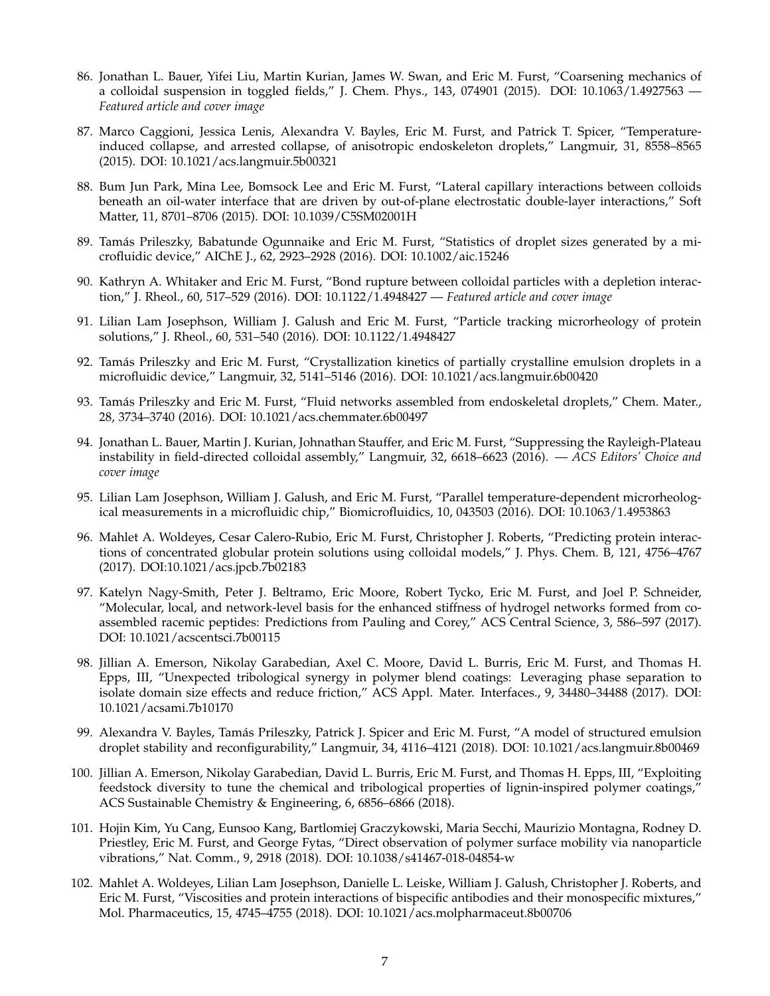- 86. Jonathan L. Bauer, Yifei Liu, Martin Kurian, James W. Swan, and Eric M. Furst, "Coarsening mechanics of a colloidal suspension in toggled fields," J. Chem. Phys., 143, 074901 (2015). DOI: 10.1063/1.4927563 — *Featured article and cover image*
- 87. Marco Caggioni, Jessica Lenis, Alexandra V. Bayles, Eric M. Furst, and Patrick T. Spicer, "Temperatureinduced collapse, and arrested collapse, of anisotropic endoskeleton droplets," Langmuir, 31, 8558–8565 (2015). DOI: 10.1021/acs.langmuir.5b00321
- 88. Bum Jun Park, Mina Lee, Bomsock Lee and Eric M. Furst, "Lateral capillary interactions between colloids beneath an oil-water interface that are driven by out-of-plane electrostatic double-layer interactions," Soft Matter, 11, 8701–8706 (2015). DOI: 10.1039/C5SM02001H
- 89. Tamás Prileszky, Babatunde Ogunnaike and Eric M. Furst, "Statistics of droplet sizes generated by a microfluidic device," AIChE J., 62, 2923–2928 (2016). DOI: 10.1002/aic.15246
- 90. Kathryn A. Whitaker and Eric M. Furst, "Bond rupture between colloidal particles with a depletion interaction," J. Rheol., 60, 517–529 (2016). DOI: 10.1122/1.4948427 — *Featured article and cover image*
- 91. Lilian Lam Josephson, William J. Galush and Eric M. Furst, "Particle tracking microrheology of protein solutions," J. Rheol., 60, 531–540 (2016). DOI: 10.1122/1.4948427
- 92. Tamás Prileszky and Eric M. Furst, "Crystallization kinetics of partially crystalline emulsion droplets in a microfluidic device," Langmuir, 32, 5141–5146 (2016). DOI: 10.1021/acs.langmuir.6b00420
- 93. Tamás Prileszky and Eric M. Furst, "Fluid networks assembled from endoskeletal droplets," Chem. Mater., 28, 3734–3740 (2016). DOI: 10.1021/acs.chemmater.6b00497
- 94. Jonathan L. Bauer, Martin J. Kurian, Johnathan Stauffer, and Eric M. Furst, "Suppressing the Rayleigh-Plateau instability in field-directed colloidal assembly," Langmuir, 32, 6618–6623 (2016). — *ACS Editors' Choice and cover image*
- 95. Lilian Lam Josephson, William J. Galush, and Eric M. Furst, "Parallel temperature-dependent microrheological measurements in a microfluidic chip," Biomicrofluidics, 10, 043503 (2016). DOI: 10.1063/1.4953863
- 96. Mahlet A. Woldeyes, Cesar Calero-Rubio, Eric M. Furst, Christopher J. Roberts, "Predicting protein interactions of concentrated globular protein solutions using colloidal models," J. Phys. Chem. B, 121, 4756–4767 (2017). DOI:10.1021/acs.jpcb.7b02183
- 97. Katelyn Nagy-Smith, Peter J. Beltramo, Eric Moore, Robert Tycko, Eric M. Furst, and Joel P. Schneider, "Molecular, local, and network-level basis for the enhanced stiffness of hydrogel networks formed from coassembled racemic peptides: Predictions from Pauling and Corey," ACS Central Science, 3, 586–597 (2017). DOI: 10.1021/acscentsci.7b00115
- 98. Jillian A. Emerson, Nikolay Garabedian, Axel C. Moore, David L. Burris, Eric M. Furst, and Thomas H. Epps, III, "Unexpected tribological synergy in polymer blend coatings: Leveraging phase separation to isolate domain size effects and reduce friction," ACS Appl. Mater. Interfaces., 9, 34480–34488 (2017). DOI: 10.1021/acsami.7b10170
- 99. Alexandra V. Bayles, Tamás Prileszky, Patrick J. Spicer and Eric M. Furst, "A model of structured emulsion droplet stability and reconfigurability," Langmuir, 34, 4116–4121 (2018). DOI: 10.1021/acs.langmuir.8b00469
- 100. Jillian A. Emerson, Nikolay Garabedian, David L. Burris, Eric M. Furst, and Thomas H. Epps, III, "Exploiting feedstock diversity to tune the chemical and tribological properties of lignin-inspired polymer coatings," ACS Sustainable Chemistry & Engineering, 6, 6856–6866 (2018).
- 101. Hojin Kim, Yu Cang, Eunsoo Kang, Bartlomiej Graczykowski, Maria Secchi, Maurizio Montagna, Rodney D. Priestley, Eric M. Furst, and George Fytas, "Direct observation of polymer surface mobility via nanoparticle vibrations," Nat. Comm., 9, 2918 (2018). DOI: 10.1038/s41467-018-04854-w
- 102. Mahlet A. Woldeyes, Lilian Lam Josephson, Danielle L. Leiske, William J. Galush, Christopher J. Roberts, and Eric M. Furst, "Viscosities and protein interactions of bispecific antibodies and their monospecific mixtures," Mol. Pharmaceutics, 15, 4745–4755 (2018). DOI: 10.1021/acs.molpharmaceut.8b00706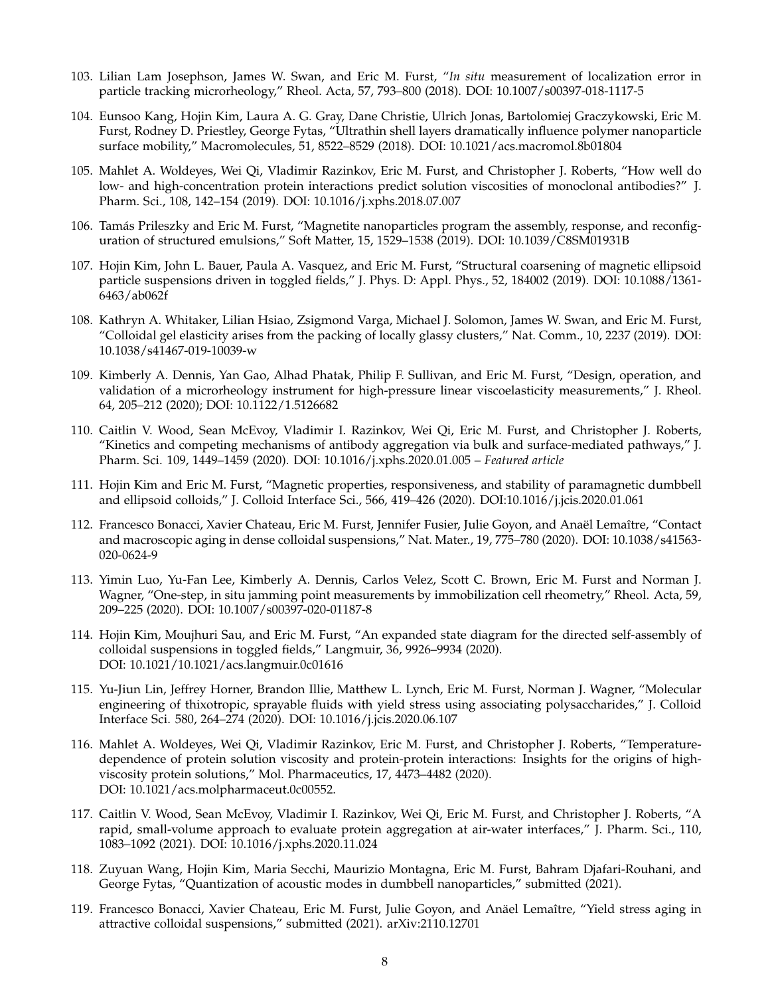- 103. Lilian Lam Josephson, James W. Swan, and Eric M. Furst, "*In situ* measurement of localization error in particle tracking microrheology," Rheol. Acta, 57, 793–800 (2018). DOI: 10.1007/s00397-018-1117-5
- 104. Eunsoo Kang, Hojin Kim, Laura A. G. Gray, Dane Christie, Ulrich Jonas, Bartolomiej Graczykowski, Eric M. Furst, Rodney D. Priestley, George Fytas, "Ultrathin shell layers dramatically influence polymer nanoparticle surface mobility," Macromolecules, 51, 8522–8529 (2018). DOI: 10.1021/acs.macromol.8b01804
- 105. Mahlet A. Woldeyes, Wei Qi, Vladimir Razinkov, Eric M. Furst, and Christopher J. Roberts, "How well do low- and high-concentration protein interactions predict solution viscosities of monoclonal antibodies?" J. Pharm. Sci., 108, 142–154 (2019). DOI: 10.1016/j.xphs.2018.07.007
- 106. Tamás Prileszky and Eric M. Furst, "Magnetite nanoparticles program the assembly, response, and reconfiguration of structured emulsions," Soft Matter, 15, 1529–1538 (2019). DOI: 10.1039/C8SM01931B
- 107. Hojin Kim, John L. Bauer, Paula A. Vasquez, and Eric M. Furst, "Structural coarsening of magnetic ellipsoid particle suspensions driven in toggled fields," J. Phys. D: Appl. Phys., 52, 184002 (2019). DOI: 10.1088/1361- 6463/ab062f
- 108. Kathryn A. Whitaker, Lilian Hsiao, Zsigmond Varga, Michael J. Solomon, James W. Swan, and Eric M. Furst, "Colloidal gel elasticity arises from the packing of locally glassy clusters," Nat. Comm., 10, 2237 (2019). DOI: 10.1038/s41467-019-10039-w
- 109. Kimberly A. Dennis, Yan Gao, Alhad Phatak, Philip F. Sullivan, and Eric M. Furst, "Design, operation, and validation of a microrheology instrument for high-pressure linear viscoelasticity measurements," J. Rheol. 64, 205–212 (2020); DOI: 10.1122/1.5126682
- 110. Caitlin V. Wood, Sean McEvoy, Vladimir I. Razinkov, Wei Qi, Eric M. Furst, and Christopher J. Roberts, "Kinetics and competing mechanisms of antibody aggregation via bulk and surface-mediated pathways," J. Pharm. Sci. 109, 1449–1459 (2020). DOI: 10.1016/j.xphs.2020.01.005 – *Featured article*
- 111. Hojin Kim and Eric M. Furst, "Magnetic properties, responsiveness, and stability of paramagnetic dumbbell and ellipsoid colloids," J. Colloid Interface Sci., 566, 419–426 (2020). DOI:10.1016/j.jcis.2020.01.061
- 112. Francesco Bonacci, Xavier Chateau, Eric M. Furst, Jennifer Fusier, Julie Goyon, and Anaël Lemaître, "Contact and macroscopic aging in dense colloidal suspensions," Nat. Mater., 19, 775–780 (2020). DOI: 10.1038/s41563- 020-0624-9
- 113. Yimin Luo, Yu-Fan Lee, Kimberly A. Dennis, Carlos Velez, Scott C. Brown, Eric M. Furst and Norman J. Wagner, "One-step, in situ jamming point measurements by immobilization cell rheometry," Rheol. Acta, 59, 209–225 (2020). DOI: 10.1007/s00397-020-01187-8
- 114. Hojin Kim, Moujhuri Sau, and Eric M. Furst, "An expanded state diagram for the directed self-assembly of colloidal suspensions in toggled fields," Langmuir, 36, 9926–9934 (2020). DOI: 10.1021/10.1021/acs.langmuir.0c01616
- 115. Yu-Jiun Lin, Jeffrey Horner, Brandon Illie, Matthew L. Lynch, Eric M. Furst, Norman J. Wagner, "Molecular engineering of thixotropic, sprayable fluids with yield stress using associating polysaccharides," J. Colloid Interface Sci. 580, 264–274 (2020). DOI: 10.1016/j.jcis.2020.06.107
- 116. Mahlet A. Woldeyes, Wei Qi, Vladimir Razinkov, Eric M. Furst, and Christopher J. Roberts, "Temperaturedependence of protein solution viscosity and protein-protein interactions: Insights for the origins of highviscosity protein solutions," Mol. Pharmaceutics, 17, 4473–4482 (2020). DOI: 10.1021/acs.molpharmaceut.0c00552.
- 117. Caitlin V. Wood, Sean McEvoy, Vladimir I. Razinkov, Wei Qi, Eric M. Furst, and Christopher J. Roberts, "A rapid, small-volume approach to evaluate protein aggregation at air-water interfaces," J. Pharm. Sci., 110, 1083–1092 (2021). DOI: 10.1016/j.xphs.2020.11.024
- 118. Zuyuan Wang, Hojin Kim, Maria Secchi, Maurizio Montagna, Eric M. Furst, Bahram Djafari-Rouhani, and George Fytas, "Quantization of acoustic modes in dumbbell nanoparticles," submitted (2021).
- 119. Francesco Bonacci, Xavier Chateau, Eric M. Furst, Julie Goyon, and Anäel Lemaître, "Yield stress aging in attractive colloidal suspensions," submitted (2021). arXiv:2110.12701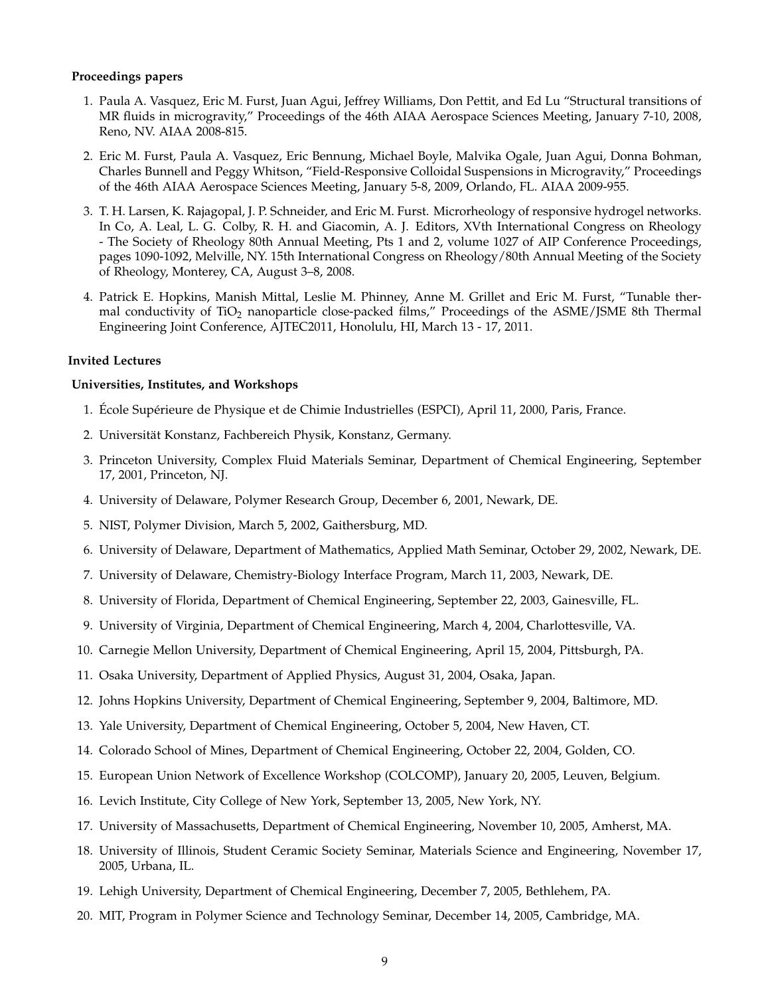### **Proceedings papers**

- 1. Paula A. Vasquez, Eric M. Furst, Juan Agui, Jeffrey Williams, Don Pettit, and Ed Lu "Structural transitions of MR fluids in microgravity," Proceedings of the 46th AIAA Aerospace Sciences Meeting, January 7-10, 2008, Reno, NV. AIAA 2008-815.
- 2. Eric M. Furst, Paula A. Vasquez, Eric Bennung, Michael Boyle, Malvika Ogale, Juan Agui, Donna Bohman, Charles Bunnell and Peggy Whitson, "Field-Responsive Colloidal Suspensions in Microgravity," Proceedings of the 46th AIAA Aerospace Sciences Meeting, January 5-8, 2009, Orlando, FL. AIAA 2009-955.
- 3. T. H. Larsen, K. Rajagopal, J. P. Schneider, and Eric M. Furst. Microrheology of responsive hydrogel networks. In Co, A. Leal, L. G. Colby, R. H. and Giacomin, A. J. Editors, XVth International Congress on Rheology - The Society of Rheology 80th Annual Meeting, Pts 1 and 2, volume 1027 of AIP Conference Proceedings, pages 1090-1092, Melville, NY. 15th International Congress on Rheology/80th Annual Meeting of the Society of Rheology, Monterey, CA, August 3–8, 2008.
- 4. Patrick E. Hopkins, Manish Mittal, Leslie M. Phinney, Anne M. Grillet and Eric M. Furst, "Tunable thermal conductivity of TiO<sub>2</sub> nanoparticle close-packed films," Proceedings of the ASME/JSME 8th Thermal Engineering Joint Conference, AJTEC2011, Honolulu, HI, March 13 - 17, 2011.

# **Invited Lectures**

# **Universities, Institutes, and Workshops**

- 1. École Supérieure de Physique et de Chimie Industrielles (ESPCI), April 11, 2000, Paris, France.
- 2. Universität Konstanz, Fachbereich Physik, Konstanz, Germany.
- 3. Princeton University, Complex Fluid Materials Seminar, Department of Chemical Engineering, September 17, 2001, Princeton, NJ.
- 4. University of Delaware, Polymer Research Group, December 6, 2001, Newark, DE.
- 5. NIST, Polymer Division, March 5, 2002, Gaithersburg, MD.
- 6. University of Delaware, Department of Mathematics, Applied Math Seminar, October 29, 2002, Newark, DE.
- 7. University of Delaware, Chemistry-Biology Interface Program, March 11, 2003, Newark, DE.
- 8. University of Florida, Department of Chemical Engineering, September 22, 2003, Gainesville, FL.
- 9. University of Virginia, Department of Chemical Engineering, March 4, 2004, Charlottesville, VA.
- 10. Carnegie Mellon University, Department of Chemical Engineering, April 15, 2004, Pittsburgh, PA.
- 11. Osaka University, Department of Applied Physics, August 31, 2004, Osaka, Japan.
- 12. Johns Hopkins University, Department of Chemical Engineering, September 9, 2004, Baltimore, MD.
- 13. Yale University, Department of Chemical Engineering, October 5, 2004, New Haven, CT.
- 14. Colorado School of Mines, Department of Chemical Engineering, October 22, 2004, Golden, CO.
- 15. European Union Network of Excellence Workshop (COLCOMP), January 20, 2005, Leuven, Belgium.
- 16. Levich Institute, City College of New York, September 13, 2005, New York, NY.
- 17. University of Massachusetts, Department of Chemical Engineering, November 10, 2005, Amherst, MA.
- 18. University of Illinois, Student Ceramic Society Seminar, Materials Science and Engineering, November 17, 2005, Urbana, IL.
- 19. Lehigh University, Department of Chemical Engineering, December 7, 2005, Bethlehem, PA.
- 20. MIT, Program in Polymer Science and Technology Seminar, December 14, 2005, Cambridge, MA.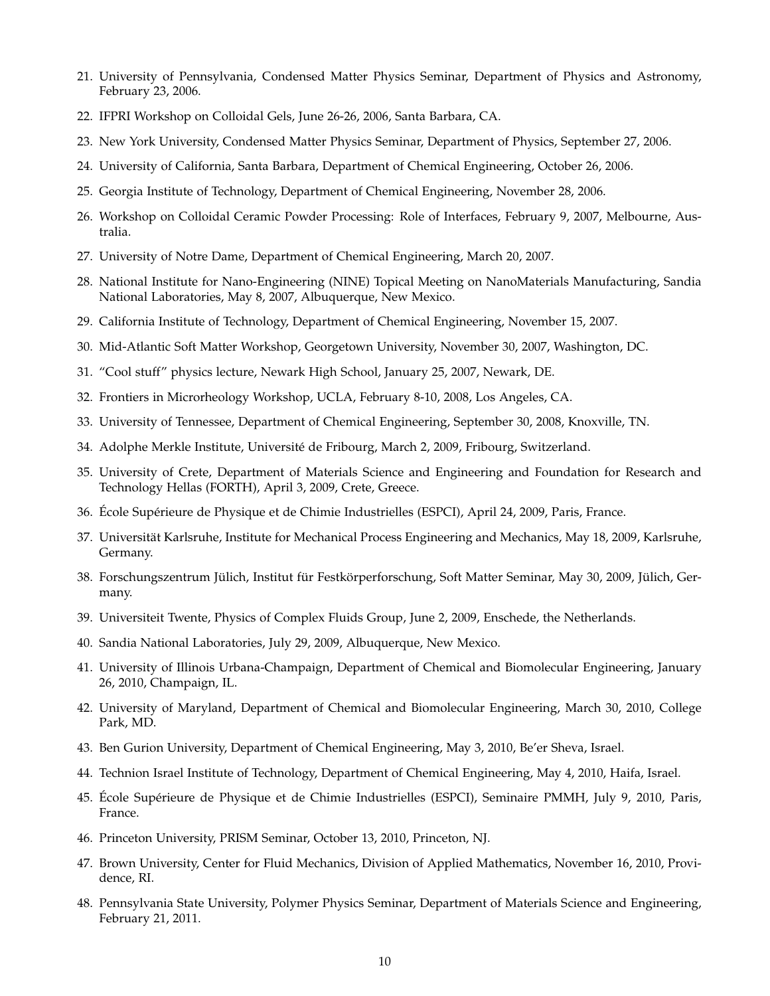- 21. University of Pennsylvania, Condensed Matter Physics Seminar, Department of Physics and Astronomy, February 23, 2006.
- 22. IFPRI Workshop on Colloidal Gels, June 26-26, 2006, Santa Barbara, CA.
- 23. New York University, Condensed Matter Physics Seminar, Department of Physics, September 27, 2006.
- 24. University of California, Santa Barbara, Department of Chemical Engineering, October 26, 2006.
- 25. Georgia Institute of Technology, Department of Chemical Engineering, November 28, 2006.
- 26. Workshop on Colloidal Ceramic Powder Processing: Role of Interfaces, February 9, 2007, Melbourne, Australia.
- 27. University of Notre Dame, Department of Chemical Engineering, March 20, 2007.
- 28. National Institute for Nano-Engineering (NINE) Topical Meeting on NanoMaterials Manufacturing, Sandia National Laboratories, May 8, 2007, Albuquerque, New Mexico.
- 29. California Institute of Technology, Department of Chemical Engineering, November 15, 2007.
- 30. Mid-Atlantic Soft Matter Workshop, Georgetown University, November 30, 2007, Washington, DC.
- 31. "Cool stuff" physics lecture, Newark High School, January 25, 2007, Newark, DE.
- 32. Frontiers in Microrheology Workshop, UCLA, February 8-10, 2008, Los Angeles, CA.
- 33. University of Tennessee, Department of Chemical Engineering, September 30, 2008, Knoxville, TN.
- 34. Adolphe Merkle Institute, Université de Fribourg, March 2, 2009, Fribourg, Switzerland.
- 35. University of Crete, Department of Materials Science and Engineering and Foundation for Research and Technology Hellas (FORTH), April 3, 2009, Crete, Greece.
- 36. École Supérieure de Physique et de Chimie Industrielles (ESPCI), April 24, 2009, Paris, France.
- 37. Universität Karlsruhe, Institute for Mechanical Process Engineering and Mechanics, May 18, 2009, Karlsruhe, Germany.
- 38. Forschungszentrum Jülich, Institut für Festkörperforschung, Soft Matter Seminar, May 30, 2009, Jülich, Germany.
- 39. Universiteit Twente, Physics of Complex Fluids Group, June 2, 2009, Enschede, the Netherlands.
- 40. Sandia National Laboratories, July 29, 2009, Albuquerque, New Mexico.
- 41. University of Illinois Urbana-Champaign, Department of Chemical and Biomolecular Engineering, January 26, 2010, Champaign, IL.
- 42. University of Maryland, Department of Chemical and Biomolecular Engineering, March 30, 2010, College Park, MD.
- 43. Ben Gurion University, Department of Chemical Engineering, May 3, 2010, Be'er Sheva, Israel.
- 44. Technion Israel Institute of Technology, Department of Chemical Engineering, May 4, 2010, Haifa, Israel.
- 45. École Supérieure de Physique et de Chimie Industrielles (ESPCI), Seminaire PMMH, July 9, 2010, Paris, France.
- 46. Princeton University, PRISM Seminar, October 13, 2010, Princeton, NJ.
- 47. Brown University, Center for Fluid Mechanics, Division of Applied Mathematics, November 16, 2010, Providence, RI.
- 48. Pennsylvania State University, Polymer Physics Seminar, Department of Materials Science and Engineering, February 21, 2011.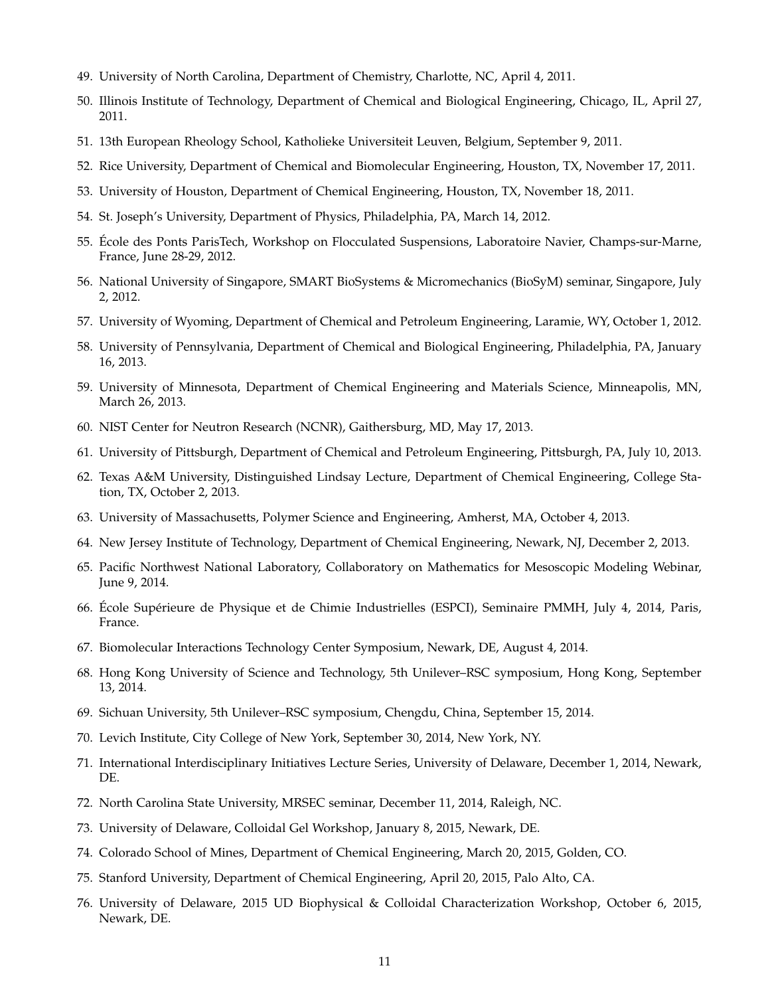- 49. University of North Carolina, Department of Chemistry, Charlotte, NC, April 4, 2011.
- 50. Illinois Institute of Technology, Department of Chemical and Biological Engineering, Chicago, IL, April 27, 2011.
- 51. 13th European Rheology School, Katholieke Universiteit Leuven, Belgium, September 9, 2011.
- 52. Rice University, Department of Chemical and Biomolecular Engineering, Houston, TX, November 17, 2011.
- 53. University of Houston, Department of Chemical Engineering, Houston, TX, November 18, 2011.
- 54. St. Joseph's University, Department of Physics, Philadelphia, PA, March 14, 2012.
- 55. École des Ponts ParisTech, Workshop on Flocculated Suspensions, Laboratoire Navier, Champs-sur-Marne, France, June 28-29, 2012.
- 56. National University of Singapore, SMART BioSystems & Micromechanics (BioSyM) seminar, Singapore, July 2, 2012.
- 57. University of Wyoming, Department of Chemical and Petroleum Engineering, Laramie, WY, October 1, 2012.
- 58. University of Pennsylvania, Department of Chemical and Biological Engineering, Philadelphia, PA, January 16, 2013.
- 59. University of Minnesota, Department of Chemical Engineering and Materials Science, Minneapolis, MN, March 26, 2013.
- 60. NIST Center for Neutron Research (NCNR), Gaithersburg, MD, May 17, 2013.
- 61. University of Pittsburgh, Department of Chemical and Petroleum Engineering, Pittsburgh, PA, July 10, 2013.
- 62. Texas A&M University, Distinguished Lindsay Lecture, Department of Chemical Engineering, College Station, TX, October 2, 2013.
- 63. University of Massachusetts, Polymer Science and Engineering, Amherst, MA, October 4, 2013.
- 64. New Jersey Institute of Technology, Department of Chemical Engineering, Newark, NJ, December 2, 2013.
- 65. Pacific Northwest National Laboratory, Collaboratory on Mathematics for Mesoscopic Modeling Webinar, June 9, 2014.
- 66. École Supérieure de Physique et de Chimie Industrielles (ESPCI), Seminaire PMMH, July 4, 2014, Paris, France.
- 67. Biomolecular Interactions Technology Center Symposium, Newark, DE, August 4, 2014.
- 68. Hong Kong University of Science and Technology, 5th Unilever–RSC symposium, Hong Kong, September 13, 2014.
- 69. Sichuan University, 5th Unilever–RSC symposium, Chengdu, China, September 15, 2014.
- 70. Levich Institute, City College of New York, September 30, 2014, New York, NY.
- 71. International Interdisciplinary Initiatives Lecture Series, University of Delaware, December 1, 2014, Newark, DE.
- 72. North Carolina State University, MRSEC seminar, December 11, 2014, Raleigh, NC.
- 73. University of Delaware, Colloidal Gel Workshop, January 8, 2015, Newark, DE.
- 74. Colorado School of Mines, Department of Chemical Engineering, March 20, 2015, Golden, CO.
- 75. Stanford University, Department of Chemical Engineering, April 20, 2015, Palo Alto, CA.
- 76. University of Delaware, 2015 UD Biophysical & Colloidal Characterization Workshop, October 6, 2015, Newark, DE.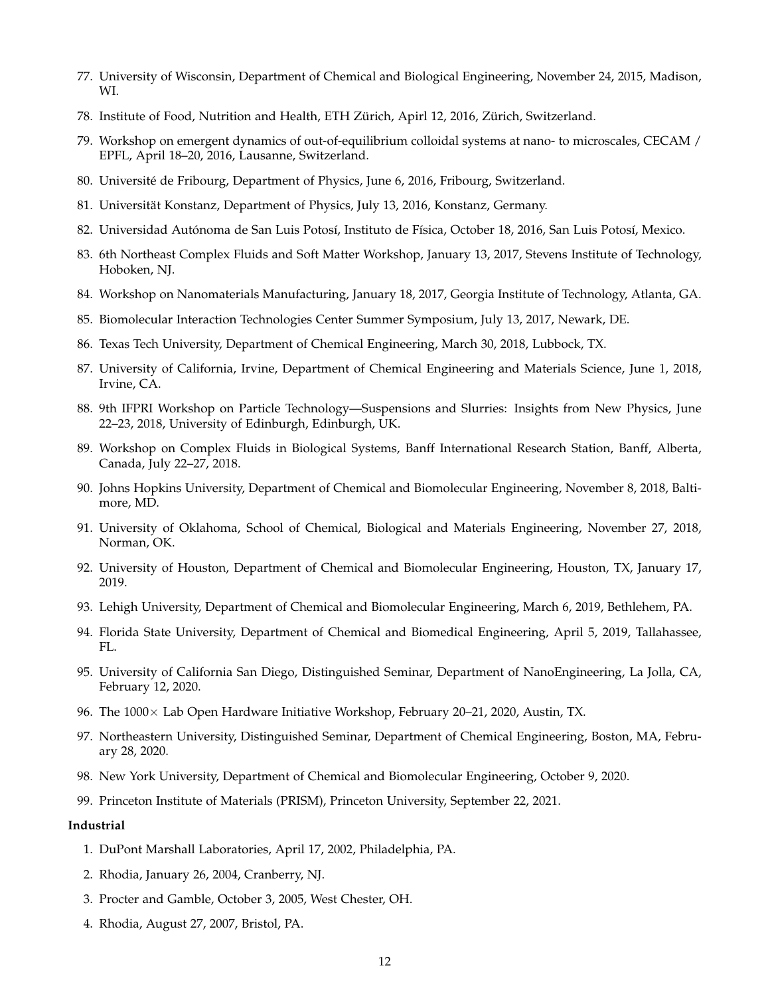- 77. University of Wisconsin, Department of Chemical and Biological Engineering, November 24, 2015, Madison, WI.
- 78. Institute of Food, Nutrition and Health, ETH Zürich, Apirl 12, 2016, Zürich, Switzerland.
- 79. Workshop on emergent dynamics of out-of-equilibrium colloidal systems at nano- to microscales, CECAM / EPFL, April 18–20, 2016, Lausanne, Switzerland.
- 80. Université de Fribourg, Department of Physics, June 6, 2016, Fribourg, Switzerland.
- 81. Universität Konstanz, Department of Physics, July 13, 2016, Konstanz, Germany.
- 82. Universidad Autónoma de San Luis Potosí, Instituto de Física, October 18, 2016, San Luis Potosí, Mexico.
- 83. 6th Northeast Complex Fluids and Soft Matter Workshop, January 13, 2017, Stevens Institute of Technology, Hoboken, NJ.
- 84. Workshop on Nanomaterials Manufacturing, January 18, 2017, Georgia Institute of Technology, Atlanta, GA.
- 85. Biomolecular Interaction Technologies Center Summer Symposium, July 13, 2017, Newark, DE.
- 86. Texas Tech University, Department of Chemical Engineering, March 30, 2018, Lubbock, TX.
- 87. University of California, Irvine, Department of Chemical Engineering and Materials Science, June 1, 2018, Irvine, CA.
- 88. 9th IFPRI Workshop on Particle Technology—Suspensions and Slurries: Insights from New Physics, June 22–23, 2018, University of Edinburgh, Edinburgh, UK.
- 89. Workshop on Complex Fluids in Biological Systems, Banff International Research Station, Banff, Alberta, Canada, July 22–27, 2018.
- 90. Johns Hopkins University, Department of Chemical and Biomolecular Engineering, November 8, 2018, Baltimore, MD.
- 91. University of Oklahoma, School of Chemical, Biological and Materials Engineering, November 27, 2018, Norman, OK.
- 92. University of Houston, Department of Chemical and Biomolecular Engineering, Houston, TX, January 17, 2019.
- 93. Lehigh University, Department of Chemical and Biomolecular Engineering, March 6, 2019, Bethlehem, PA.
- 94. Florida State University, Department of Chemical and Biomedical Engineering, April 5, 2019, Tallahassee, FL.
- 95. University of California San Diego, Distinguished Seminar, Department of NanoEngineering, La Jolla, CA, February 12, 2020.
- 96. The 1000× Lab Open Hardware Initiative Workshop, February 20–21, 2020, Austin, TX.
- 97. Northeastern University, Distinguished Seminar, Department of Chemical Engineering, Boston, MA, February 28, 2020.
- 98. New York University, Department of Chemical and Biomolecular Engineering, October 9, 2020.
- 99. Princeton Institute of Materials (PRISM), Princeton University, September 22, 2021.

#### **Industrial**

- 1. DuPont Marshall Laboratories, April 17, 2002, Philadelphia, PA.
- 2. Rhodia, January 26, 2004, Cranberry, NJ.
- 3. Procter and Gamble, October 3, 2005, West Chester, OH.
- 4. Rhodia, August 27, 2007, Bristol, PA.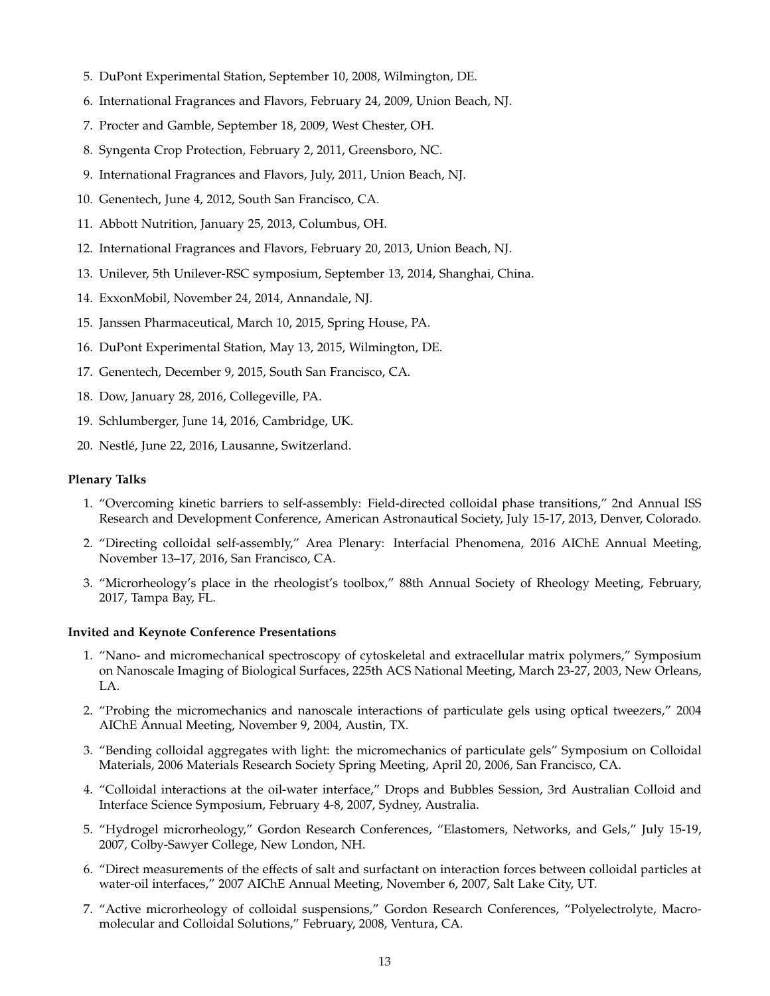- 5. DuPont Experimental Station, September 10, 2008, Wilmington, DE.
- 6. International Fragrances and Flavors, February 24, 2009, Union Beach, NJ.
- 7. Procter and Gamble, September 18, 2009, West Chester, OH.
- 8. Syngenta Crop Protection, February 2, 2011, Greensboro, NC.
- 9. International Fragrances and Flavors, July, 2011, Union Beach, NJ.
- 10. Genentech, June 4, 2012, South San Francisco, CA.
- 11. Abbott Nutrition, January 25, 2013, Columbus, OH.
- 12. International Fragrances and Flavors, February 20, 2013, Union Beach, NJ.
- 13. Unilever, 5th Unilever-RSC symposium, September 13, 2014, Shanghai, China.
- 14. ExxonMobil, November 24, 2014, Annandale, NJ.
- 15. Janssen Pharmaceutical, March 10, 2015, Spring House, PA.
- 16. DuPont Experimental Station, May 13, 2015, Wilmington, DE.
- 17. Genentech, December 9, 2015, South San Francisco, CA.
- 18. Dow, January 28, 2016, Collegeville, PA.
- 19. Schlumberger, June 14, 2016, Cambridge, UK.
- 20. Nestlé, June 22, 2016, Lausanne, Switzerland.

#### **Plenary Talks**

- 1. "Overcoming kinetic barriers to self-assembly: Field-directed colloidal phase transitions," 2nd Annual ISS Research and Development Conference, American Astronautical Society, July 15-17, 2013, Denver, Colorado.
- 2. "Directing colloidal self-assembly," Area Plenary: Interfacial Phenomena, 2016 AIChE Annual Meeting, November 13–17, 2016, San Francisco, CA.
- 3. "Microrheology's place in the rheologist's toolbox," 88th Annual Society of Rheology Meeting, February, 2017, Tampa Bay, FL.

#### **Invited and Keynote Conference Presentations**

- 1. "Nano- and micromechanical spectroscopy of cytoskeletal and extracellular matrix polymers," Symposium on Nanoscale Imaging of Biological Surfaces, 225th ACS National Meeting, March 23-27, 2003, New Orleans, LA.
- 2. "Probing the micromechanics and nanoscale interactions of particulate gels using optical tweezers," 2004 AIChE Annual Meeting, November 9, 2004, Austin, TX.
- 3. "Bending colloidal aggregates with light: the micromechanics of particulate gels" Symposium on Colloidal Materials, 2006 Materials Research Society Spring Meeting, April 20, 2006, San Francisco, CA.
- 4. "Colloidal interactions at the oil-water interface," Drops and Bubbles Session, 3rd Australian Colloid and Interface Science Symposium, February 4-8, 2007, Sydney, Australia.
- 5. "Hydrogel microrheology," Gordon Research Conferences, "Elastomers, Networks, and Gels," July 15-19, 2007, Colby-Sawyer College, New London, NH.
- 6. "Direct measurements of the effects of salt and surfactant on interaction forces between colloidal particles at water-oil interfaces," 2007 AIChE Annual Meeting, November 6, 2007, Salt Lake City, UT.
- 7. "Active microrheology of colloidal suspensions," Gordon Research Conferences, "Polyelectrolyte, Macromolecular and Colloidal Solutions," February, 2008, Ventura, CA.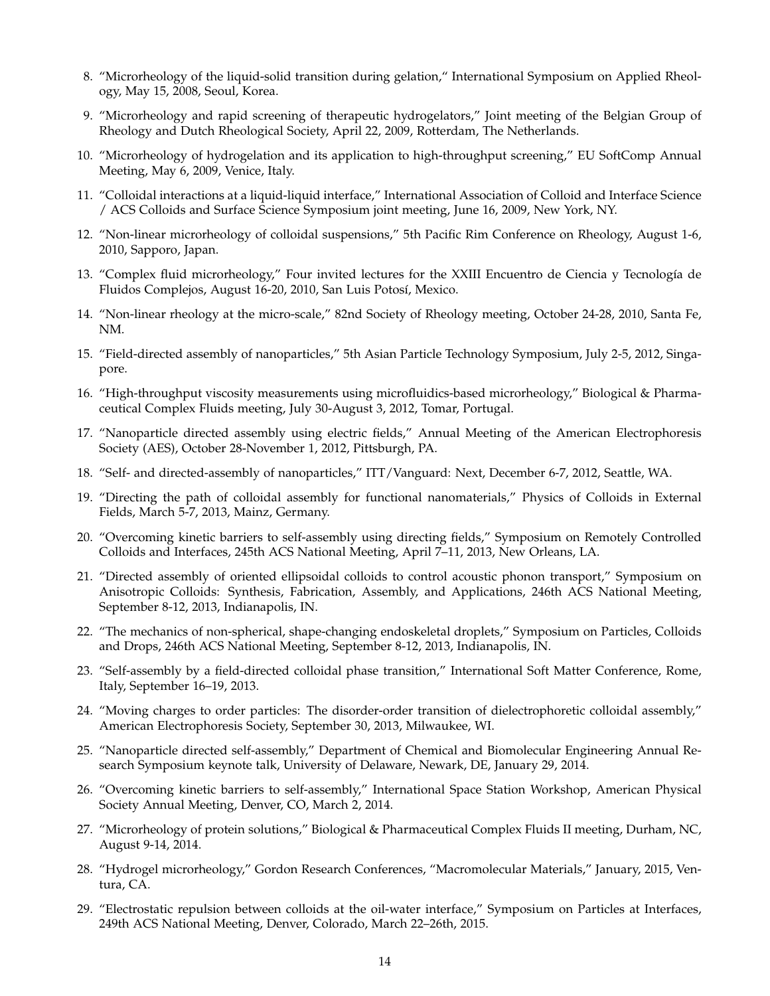- 8. "Microrheology of the liquid-solid transition during gelation," International Symposium on Applied Rheology, May 15, 2008, Seoul, Korea.
- 9. "Microrheology and rapid screening of therapeutic hydrogelators," Joint meeting of the Belgian Group of Rheology and Dutch Rheological Society, April 22, 2009, Rotterdam, The Netherlands.
- 10. "Microrheology of hydrogelation and its application to high-throughput screening," EU SoftComp Annual Meeting, May 6, 2009, Venice, Italy.
- 11. "Colloidal interactions at a liquid-liquid interface," International Association of Colloid and Interface Science / ACS Colloids and Surface Science Symposium joint meeting, June 16, 2009, New York, NY.
- 12. "Non-linear microrheology of colloidal suspensions," 5th Pacific Rim Conference on Rheology, August 1-6, 2010, Sapporo, Japan.
- 13. "Complex fluid microrheology," Four invited lectures for the XXIII Encuentro de Ciencia y Tecnología de Fluidos Complejos, August 16-20, 2010, San Luis Potosí, Mexico.
- 14. "Non-linear rheology at the micro-scale," 82nd Society of Rheology meeting, October 24-28, 2010, Santa Fe, NM.
- 15. "Field-directed assembly of nanoparticles," 5th Asian Particle Technology Symposium, July 2-5, 2012, Singapore.
- 16. "High-throughput viscosity measurements using microfluidics-based microrheology," Biological & Pharmaceutical Complex Fluids meeting, July 30-August 3, 2012, Tomar, Portugal.
- 17. "Nanoparticle directed assembly using electric fields," Annual Meeting of the American Electrophoresis Society (AES), October 28-November 1, 2012, Pittsburgh, PA.
- 18. "Self- and directed-assembly of nanoparticles," ITT/Vanguard: Next, December 6-7, 2012, Seattle, WA.
- 19. "Directing the path of colloidal assembly for functional nanomaterials," Physics of Colloids in External Fields, March 5-7, 2013, Mainz, Germany.
- 20. "Overcoming kinetic barriers to self-assembly using directing fields," Symposium on Remotely Controlled Colloids and Interfaces, 245th ACS National Meeting, April 7–11, 2013, New Orleans, LA.
- 21. "Directed assembly of oriented ellipsoidal colloids to control acoustic phonon transport," Symposium on Anisotropic Colloids: Synthesis, Fabrication, Assembly, and Applications, 246th ACS National Meeting, September 8-12, 2013, Indianapolis, IN.
- 22. "The mechanics of non-spherical, shape-changing endoskeletal droplets," Symposium on Particles, Colloids and Drops, 246th ACS National Meeting, September 8-12, 2013, Indianapolis, IN.
- 23. "Self-assembly by a field-directed colloidal phase transition," International Soft Matter Conference, Rome, Italy, September 16–19, 2013.
- 24. "Moving charges to order particles: The disorder-order transition of dielectrophoretic colloidal assembly," American Electrophoresis Society, September 30, 2013, Milwaukee, WI.
- 25. "Nanoparticle directed self-assembly," Department of Chemical and Biomolecular Engineering Annual Research Symposium keynote talk, University of Delaware, Newark, DE, January 29, 2014.
- 26. "Overcoming kinetic barriers to self-assembly," International Space Station Workshop, American Physical Society Annual Meeting, Denver, CO, March 2, 2014.
- 27. "Microrheology of protein solutions," Biological & Pharmaceutical Complex Fluids II meeting, Durham, NC, August 9-14, 2014.
- 28. "Hydrogel microrheology," Gordon Research Conferences, "Macromolecular Materials," January, 2015, Ventura, CA.
- 29. "Electrostatic repulsion between colloids at the oil-water interface," Symposium on Particles at Interfaces, 249th ACS National Meeting, Denver, Colorado, March 22–26th, 2015.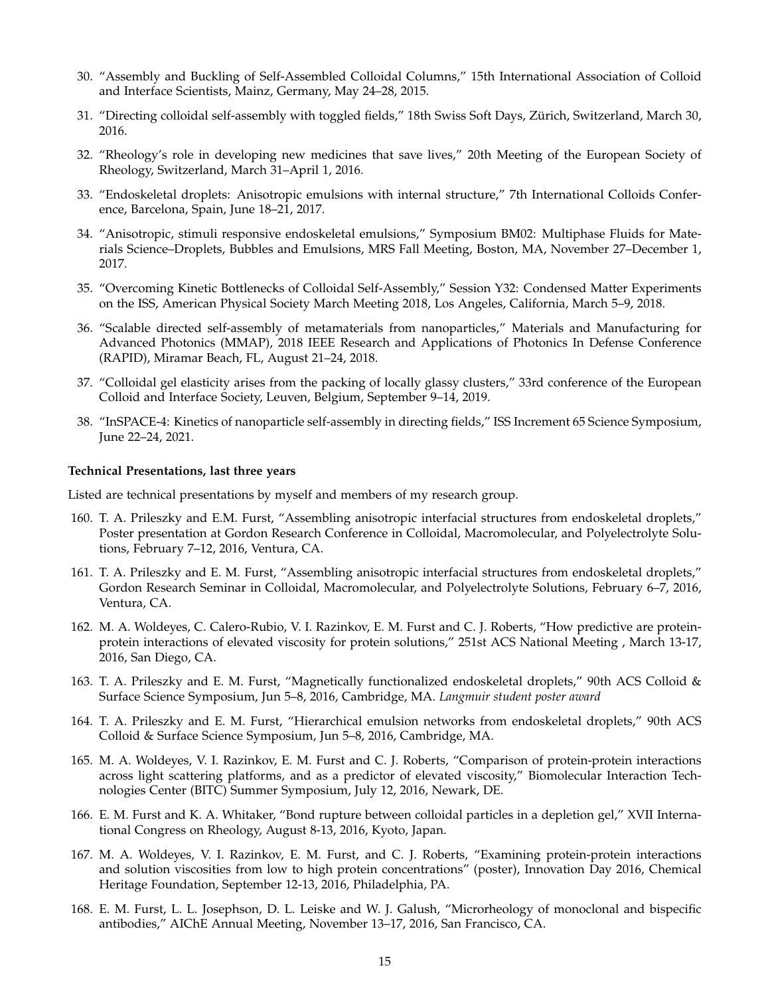- 30. "Assembly and Buckling of Self-Assembled Colloidal Columns," 15th International Association of Colloid and Interface Scientists, Mainz, Germany, May 24–28, 2015.
- 31. "Directing colloidal self-assembly with toggled fields," 18th Swiss Soft Days, Zürich, Switzerland, March 30, 2016.
- 32. "Rheology's role in developing new medicines that save lives," 20th Meeting of the European Society of Rheology, Switzerland, March 31–April 1, 2016.
- 33. "Endoskeletal droplets: Anisotropic emulsions with internal structure," 7th International Colloids Conference, Barcelona, Spain, June 18–21, 2017.
- 34. "Anisotropic, stimuli responsive endoskeletal emulsions," Symposium BM02: Multiphase Fluids for Materials Science–Droplets, Bubbles and Emulsions, MRS Fall Meeting, Boston, MA, November 27–December 1, 2017.
- 35. "Overcoming Kinetic Bottlenecks of Colloidal Self-Assembly," Session Y32: Condensed Matter Experiments on the ISS, American Physical Society March Meeting 2018, Los Angeles, California, March 5–9, 2018.
- 36. "Scalable directed self-assembly of metamaterials from nanoparticles," Materials and Manufacturing for Advanced Photonics (MMAP), 2018 IEEE Research and Applications of Photonics In Defense Conference (RAPID), Miramar Beach, FL, August 21–24, 2018.
- 37. "Colloidal gel elasticity arises from the packing of locally glassy clusters," 33rd conference of the European Colloid and Interface Society, Leuven, Belgium, September 9–14, 2019.
- 38. "InSPACE-4: Kinetics of nanoparticle self-assembly in directing fields," ISS Increment 65 Science Symposium, June 22–24, 2021.

#### **Technical Presentations, last three years**

Listed are technical presentations by myself and members of my research group.

- 160. T. A. Prileszky and E.M. Furst, "Assembling anisotropic interfacial structures from endoskeletal droplets," Poster presentation at Gordon Research Conference in Colloidal, Macromolecular, and Polyelectrolyte Solutions, February 7–12, 2016, Ventura, CA.
- 161. T. A. Prileszky and E. M. Furst, "Assembling anisotropic interfacial structures from endoskeletal droplets," Gordon Research Seminar in Colloidal, Macromolecular, and Polyelectrolyte Solutions, February 6–7, 2016, Ventura, CA.
- 162. M. A. Woldeyes, C. Calero-Rubio, V. I. Razinkov, E. M. Furst and C. J. Roberts, "How predictive are proteinprotein interactions of elevated viscosity for protein solutions," 251st ACS National Meeting , March 13-17, 2016, San Diego, CA.
- 163. T. A. Prileszky and E. M. Furst, "Magnetically functionalized endoskeletal droplets," 90th ACS Colloid & Surface Science Symposium, Jun 5–8, 2016, Cambridge, MA. *Langmuir student poster award*
- 164. T. A. Prileszky and E. M. Furst, "Hierarchical emulsion networks from endoskeletal droplets," 90th ACS Colloid & Surface Science Symposium, Jun 5–8, 2016, Cambridge, MA.
- 165. M. A. Woldeyes, V. I. Razinkov, E. M. Furst and C. J. Roberts, "Comparison of protein-protein interactions across light scattering platforms, and as a predictor of elevated viscosity," Biomolecular Interaction Technologies Center (BITC) Summer Symposium, July 12, 2016, Newark, DE.
- 166. E. M. Furst and K. A. Whitaker, "Bond rupture between colloidal particles in a depletion gel," XVII International Congress on Rheology, August 8-13, 2016, Kyoto, Japan.
- 167. M. A. Woldeyes, V. I. Razinkov, E. M. Furst, and C. J. Roberts, "Examining protein-protein interactions and solution viscosities from low to high protein concentrations" (poster), Innovation Day 2016, Chemical Heritage Foundation, September 12-13, 2016, Philadelphia, PA.
- 168. E. M. Furst, L. L. Josephson, D. L. Leiske and W. J. Galush, "Microrheology of monoclonal and bispecific antibodies," AIChE Annual Meeting, November 13–17, 2016, San Francisco, CA.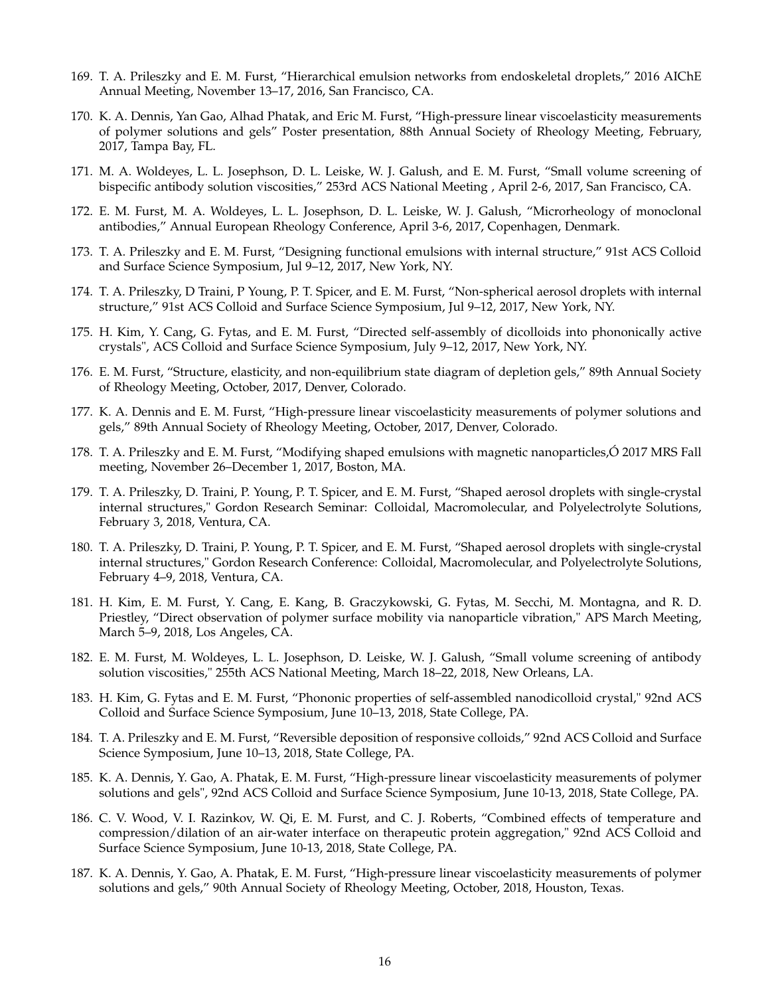- 169. T. A. Prileszky and E. M. Furst, "Hierarchical emulsion networks from endoskeletal droplets," 2016 AIChE Annual Meeting, November 13–17, 2016, San Francisco, CA.
- 170. K. A. Dennis, Yan Gao, Alhad Phatak, and Eric M. Furst, "High-pressure linear viscoelasticity measurements of polymer solutions and gels" Poster presentation, 88th Annual Society of Rheology Meeting, February, 2017, Tampa Bay, FL.
- 171. M. A. Woldeyes, L. L. Josephson, D. L. Leiske, W. J. Galush, and E. M. Furst, "Small volume screening of bispecific antibody solution viscosities," 253rd ACS National Meeting , April 2-6, 2017, San Francisco, CA.
- 172. E. M. Furst, M. A. Woldeyes, L. L. Josephson, D. L. Leiske, W. J. Galush, "Microrheology of monoclonal antibodies," Annual European Rheology Conference, April 3-6, 2017, Copenhagen, Denmark.
- 173. T. A. Prileszky and E. M. Furst, "Designing functional emulsions with internal structure," 91st ACS Colloid and Surface Science Symposium, Jul 9–12, 2017, New York, NY.
- 174. T. A. Prileszky, D Traini, P Young, P. T. Spicer, and E. M. Furst, "Non-spherical aerosol droplets with internal structure," 91st ACS Colloid and Surface Science Symposium, Jul 9–12, 2017, New York, NY.
- 175. H. Kim, Y. Cang, G. Fytas, and E. M. Furst, "Directed self-assembly of dicolloids into phononically active crystals", ACS Colloid and Surface Science Symposium, July 9–12, 2017, New York, NY.
- 176. E. M. Furst, "Structure, elasticity, and non-equilibrium state diagram of depletion gels," 89th Annual Society of Rheology Meeting, October, 2017, Denver, Colorado.
- 177. K. A. Dennis and E. M. Furst, "High-pressure linear viscoelasticity measurements of polymer solutions and gels," 89th Annual Society of Rheology Meeting, October, 2017, Denver, Colorado.
- 178. T. A. Prileszky and E. M. Furst, "Modifying shaped emulsions with magnetic nanoparticles,Ó 2017 MRS Fall meeting, November 26–December 1, 2017, Boston, MA.
- 179. T. A. Prileszky, D. Traini, P. Young, P. T. Spicer, and E. M. Furst, "Shaped aerosol droplets with single-crystal internal structures," Gordon Research Seminar: Colloidal, Macromolecular, and Polyelectrolyte Solutions, February 3, 2018, Ventura, CA.
- 180. T. A. Prileszky, D. Traini, P. Young, P. T. Spicer, and E. M. Furst, "Shaped aerosol droplets with single-crystal internal structures," Gordon Research Conference: Colloidal, Macromolecular, and Polyelectrolyte Solutions, February 4–9, 2018, Ventura, CA.
- 181. H. Kim, E. M. Furst, Y. Cang, E. Kang, B. Graczykowski, G. Fytas, M. Secchi, M. Montagna, and R. D. Priestley, "Direct observation of polymer surface mobility via nanoparticle vibration," APS March Meeting, March 5–9, 2018, Los Angeles, CA.
- 182. E. M. Furst, M. Woldeyes, L. L. Josephson, D. Leiske, W. J. Galush, "Small volume screening of antibody solution viscosities," 255th ACS National Meeting, March 18–22, 2018, New Orleans, LA.
- 183. H. Kim, G. Fytas and E. M. Furst, "Phononic properties of self-assembled nanodicolloid crystal," 92nd ACS Colloid and Surface Science Symposium, June 10–13, 2018, State College, PA.
- 184. T. A. Prileszky and E. M. Furst, "Reversible deposition of responsive colloids," 92nd ACS Colloid and Surface Science Symposium, June 10–13, 2018, State College, PA.
- 185. K. A. Dennis, Y. Gao, A. Phatak, E. M. Furst, "High-pressure linear viscoelasticity measurements of polymer solutions and gels", 92nd ACS Colloid and Surface Science Symposium, June 10-13, 2018, State College, PA.
- 186. C. V. Wood, V. I. Razinkov, W. Qi, E. M. Furst, and C. J. Roberts, "Combined effects of temperature and compression/dilation of an air-water interface on therapeutic protein aggregation," 92nd ACS Colloid and Surface Science Symposium, June 10-13, 2018, State College, PA.
- 187. K. A. Dennis, Y. Gao, A. Phatak, E. M. Furst, "High-pressure linear viscoelasticity measurements of polymer solutions and gels," 90th Annual Society of Rheology Meeting, October, 2018, Houston, Texas.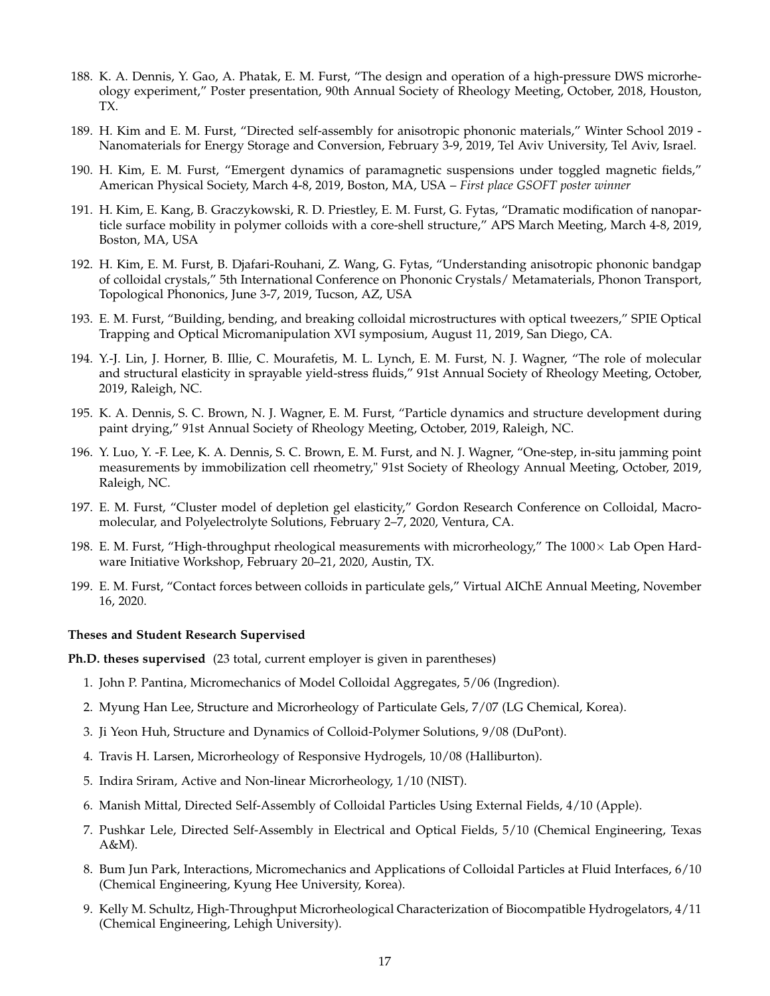- 188. K. A. Dennis, Y. Gao, A. Phatak, E. M. Furst, "The design and operation of a high-pressure DWS microrheology experiment," Poster presentation, 90th Annual Society of Rheology Meeting, October, 2018, Houston, TX.
- 189. H. Kim and E. M. Furst, "Directed self-assembly for anisotropic phononic materials," Winter School 2019 Nanomaterials for Energy Storage and Conversion, February 3-9, 2019, Tel Aviv University, Tel Aviv, Israel.
- 190. H. Kim, E. M. Furst, "Emergent dynamics of paramagnetic suspensions under toggled magnetic fields," American Physical Society, March 4-8, 2019, Boston, MA, USA – *First place GSOFT poster winner*
- 191. H. Kim, E. Kang, B. Graczykowski, R. D. Priestley, E. M. Furst, G. Fytas, "Dramatic modification of nanoparticle surface mobility in polymer colloids with a core-shell structure," APS March Meeting, March 4-8, 2019, Boston, MA, USA
- 192. H. Kim, E. M. Furst, B. Djafari-Rouhani, Z. Wang, G. Fytas, "Understanding anisotropic phononic bandgap of colloidal crystals," 5th International Conference on Phononic Crystals/ Metamaterials, Phonon Transport, Topological Phononics, June 3-7, 2019, Tucson, AZ, USA
- 193. E. M. Furst, "Building, bending, and breaking colloidal microstructures with optical tweezers," SPIE Optical Trapping and Optical Micromanipulation XVI symposium, August 11, 2019, San Diego, CA.
- 194. Y.-J. Lin, J. Horner, B. Illie, C. Mourafetis, M. L. Lynch, E. M. Furst, N. J. Wagner, "The role of molecular and structural elasticity in sprayable yield-stress fluids," 91st Annual Society of Rheology Meeting, October, 2019, Raleigh, NC.
- 195. K. A. Dennis, S. C. Brown, N. J. Wagner, E. M. Furst, "Particle dynamics and structure development during paint drying," 91st Annual Society of Rheology Meeting, October, 2019, Raleigh, NC.
- 196. Y. Luo, Y. -F. Lee, K. A. Dennis, S. C. Brown, E. M. Furst, and N. J. Wagner, "One-step, in-situ jamming point measurements by immobilization cell rheometry," 91st Society of Rheology Annual Meeting, October, 2019, Raleigh, NC.
- 197. E. M. Furst, "Cluster model of depletion gel elasticity," Gordon Research Conference on Colloidal, Macromolecular, and Polyelectrolyte Solutions, February 2–7, 2020, Ventura, CA.
- 198. E. M. Furst, "High-throughput rheological measurements with microrheology," The  $1000 \times$  Lab Open Hardware Initiative Workshop, February 20–21, 2020, Austin, TX.
- 199. E. M. Furst, "Contact forces between colloids in particulate gels," Virtual AIChE Annual Meeting, November 16, 2020.

#### **Theses and Student Research Supervised**

**Ph.D. theses supervised** (23 total, current employer is given in parentheses)

- 1. John P. Pantina, Micromechanics of Model Colloidal Aggregates, 5/06 (Ingredion).
- 2. Myung Han Lee, Structure and Microrheology of Particulate Gels, 7/07 (LG Chemical, Korea).
- 3. Ji Yeon Huh, Structure and Dynamics of Colloid-Polymer Solutions, 9/08 (DuPont).
- 4. Travis H. Larsen, Microrheology of Responsive Hydrogels, 10/08 (Halliburton).
- 5. Indira Sriram, Active and Non-linear Microrheology, 1/10 (NIST).
- 6. Manish Mittal, Directed Self-Assembly of Colloidal Particles Using External Fields, 4/10 (Apple).
- 7. Pushkar Lele, Directed Self-Assembly in Electrical and Optical Fields, 5/10 (Chemical Engineering, Texas A&M).
- 8. Bum Jun Park, Interactions, Micromechanics and Applications of Colloidal Particles at Fluid Interfaces, 6/10 (Chemical Engineering, Kyung Hee University, Korea).
- 9. Kelly M. Schultz, High-Throughput Microrheological Characterization of Biocompatible Hydrogelators, 4/11 (Chemical Engineering, Lehigh University).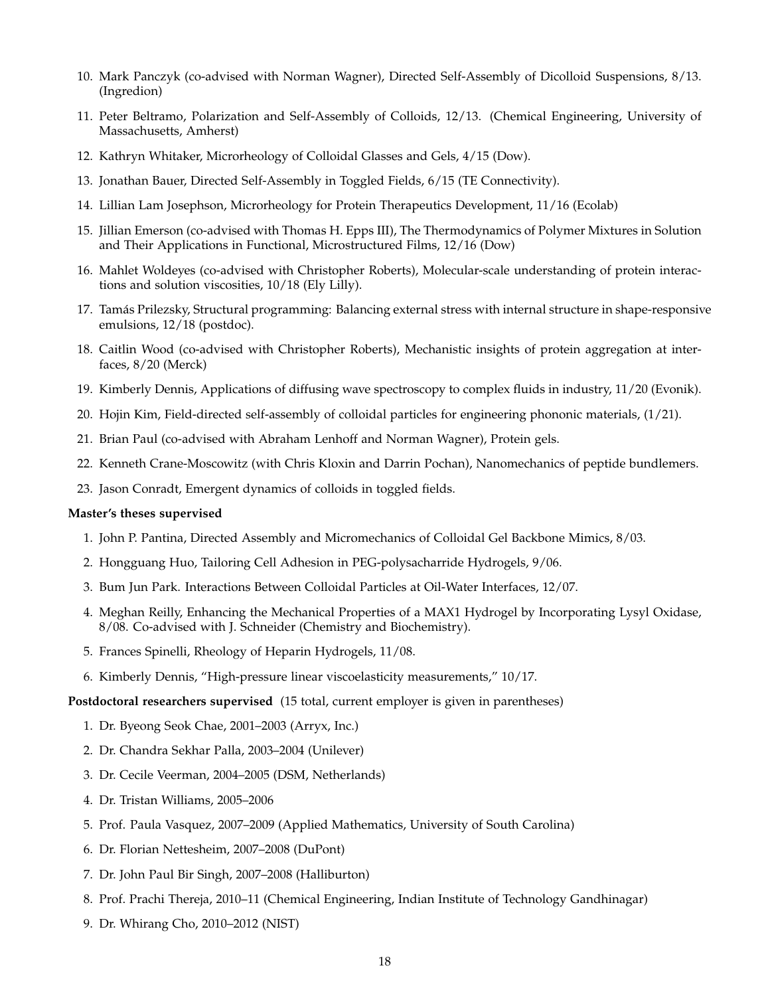- 10. Mark Panczyk (co-advised with Norman Wagner), Directed Self-Assembly of Dicolloid Suspensions, 8/13. (Ingredion)
- 11. Peter Beltramo, Polarization and Self-Assembly of Colloids, 12/13. (Chemical Engineering, University of Massachusetts, Amherst)
- 12. Kathryn Whitaker, Microrheology of Colloidal Glasses and Gels, 4/15 (Dow).
- 13. Jonathan Bauer, Directed Self-Assembly in Toggled Fields, 6/15 (TE Connectivity).
- 14. Lillian Lam Josephson, Microrheology for Protein Therapeutics Development, 11/16 (Ecolab)
- 15. Jillian Emerson (co-advised with Thomas H. Epps III), The Thermodynamics of Polymer Mixtures in Solution and Their Applications in Functional, Microstructured Films, 12/16 (Dow)
- 16. Mahlet Woldeyes (co-advised with Christopher Roberts), Molecular-scale understanding of protein interactions and solution viscosities, 10/18 (Ely Lilly).
- 17. Tamás Prilezsky, Structural programming: Balancing external stress with internal structure in shape-responsive emulsions, 12/18 (postdoc).
- 18. Caitlin Wood (co-advised with Christopher Roberts), Mechanistic insights of protein aggregation at interfaces, 8/20 (Merck)
- 19. Kimberly Dennis, Applications of diffusing wave spectroscopy to complex fluids in industry, 11/20 (Evonik).
- 20. Hojin Kim, Field-directed self-assembly of colloidal particles for engineering phononic materials, (1/21).
- 21. Brian Paul (co-advised with Abraham Lenhoff and Norman Wagner), Protein gels.
- 22. Kenneth Crane-Moscowitz (with Chris Kloxin and Darrin Pochan), Nanomechanics of peptide bundlemers.
- 23. Jason Conradt, Emergent dynamics of colloids in toggled fields.

#### **Master's theses supervised**

- 1. John P. Pantina, Directed Assembly and Micromechanics of Colloidal Gel Backbone Mimics, 8/03.
- 2. Hongguang Huo, Tailoring Cell Adhesion in PEG-polysacharride Hydrogels, 9/06.
- 3. Bum Jun Park. Interactions Between Colloidal Particles at Oil-Water Interfaces, 12/07.
- 4. Meghan Reilly, Enhancing the Mechanical Properties of a MAX1 Hydrogel by Incorporating Lysyl Oxidase, 8/08. Co-advised with J. Schneider (Chemistry and Biochemistry).
- 5. Frances Spinelli, Rheology of Heparin Hydrogels, 11/08.
- 6. Kimberly Dennis, "High-pressure linear viscoelasticity measurements," 10/17.

**Postdoctoral researchers supervised** (15 total, current employer is given in parentheses)

- 1. Dr. Byeong Seok Chae, 2001–2003 (Arryx, Inc.)
- 2. Dr. Chandra Sekhar Palla, 2003–2004 (Unilever)
- 3. Dr. Cecile Veerman, 2004–2005 (DSM, Netherlands)
- 4. Dr. Tristan Williams, 2005–2006
- 5. Prof. Paula Vasquez, 2007–2009 (Applied Mathematics, University of South Carolina)
- 6. Dr. Florian Nettesheim, 2007–2008 (DuPont)
- 7. Dr. John Paul Bir Singh, 2007–2008 (Halliburton)
- 8. Prof. Prachi Thereja, 2010–11 (Chemical Engineering, Indian Institute of Technology Gandhinagar)
- 9. Dr. Whirang Cho, 2010–2012 (NIST)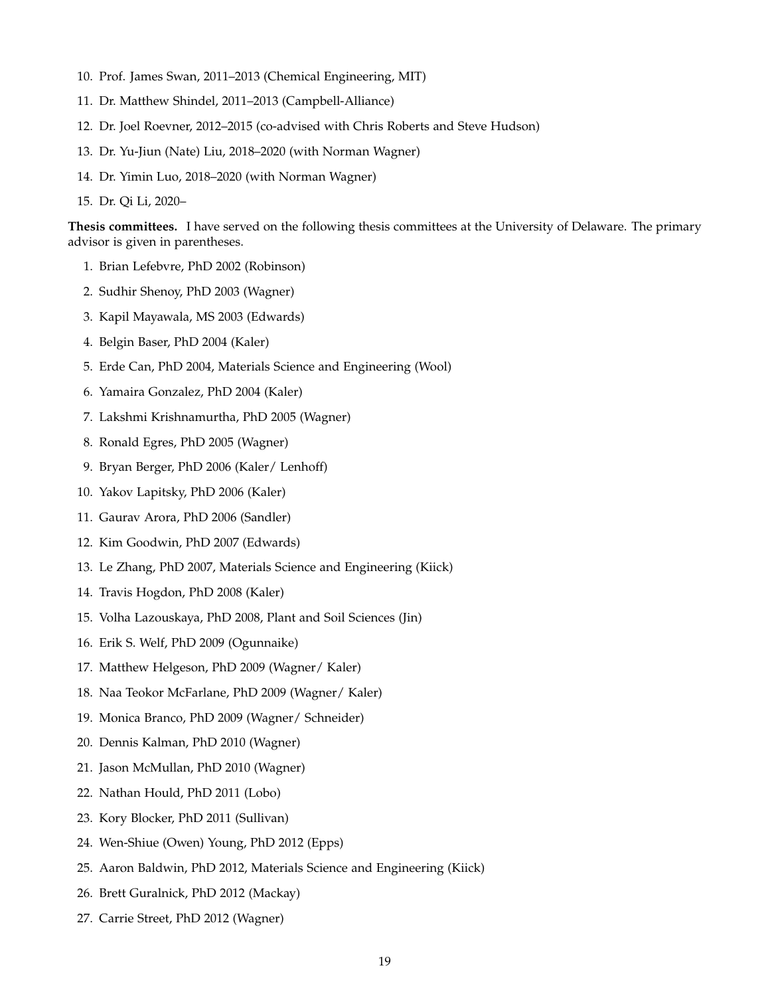- 10. Prof. James Swan, 2011–2013 (Chemical Engineering, MIT)
- 11. Dr. Matthew Shindel, 2011–2013 (Campbell-Alliance)
- 12. Dr. Joel Roevner, 2012–2015 (co-advised with Chris Roberts and Steve Hudson)
- 13. Dr. Yu-Jiun (Nate) Liu, 2018–2020 (with Norman Wagner)
- 14. Dr. Yimin Luo, 2018–2020 (with Norman Wagner)
- 15. Dr. Qi Li, 2020–

**Thesis committees.** I have served on the following thesis committees at the University of Delaware. The primary advisor is given in parentheses.

- 1. Brian Lefebvre, PhD 2002 (Robinson)
- 2. Sudhir Shenoy, PhD 2003 (Wagner)
- 3. Kapil Mayawala, MS 2003 (Edwards)
- 4. Belgin Baser, PhD 2004 (Kaler)
- 5. Erde Can, PhD 2004, Materials Science and Engineering (Wool)
- 6. Yamaira Gonzalez, PhD 2004 (Kaler)
- 7. Lakshmi Krishnamurtha, PhD 2005 (Wagner)
- 8. Ronald Egres, PhD 2005 (Wagner)
- 9. Bryan Berger, PhD 2006 (Kaler/ Lenhoff)
- 10. Yakov Lapitsky, PhD 2006 (Kaler)
- 11. Gaurav Arora, PhD 2006 (Sandler)
- 12. Kim Goodwin, PhD 2007 (Edwards)
- 13. Le Zhang, PhD 2007, Materials Science and Engineering (Kiick)
- 14. Travis Hogdon, PhD 2008 (Kaler)
- 15. Volha Lazouskaya, PhD 2008, Plant and Soil Sciences (Jin)
- 16. Erik S. Welf, PhD 2009 (Ogunnaike)
- 17. Matthew Helgeson, PhD 2009 (Wagner/ Kaler)
- 18. Naa Teokor McFarlane, PhD 2009 (Wagner/ Kaler)
- 19. Monica Branco, PhD 2009 (Wagner/ Schneider)
- 20. Dennis Kalman, PhD 2010 (Wagner)
- 21. Jason McMullan, PhD 2010 (Wagner)
- 22. Nathan Hould, PhD 2011 (Lobo)
- 23. Kory Blocker, PhD 2011 (Sullivan)
- 24. Wen-Shiue (Owen) Young, PhD 2012 (Epps)
- 25. Aaron Baldwin, PhD 2012, Materials Science and Engineering (Kiick)
- 26. Brett Guralnick, PhD 2012 (Mackay)
- 27. Carrie Street, PhD 2012 (Wagner)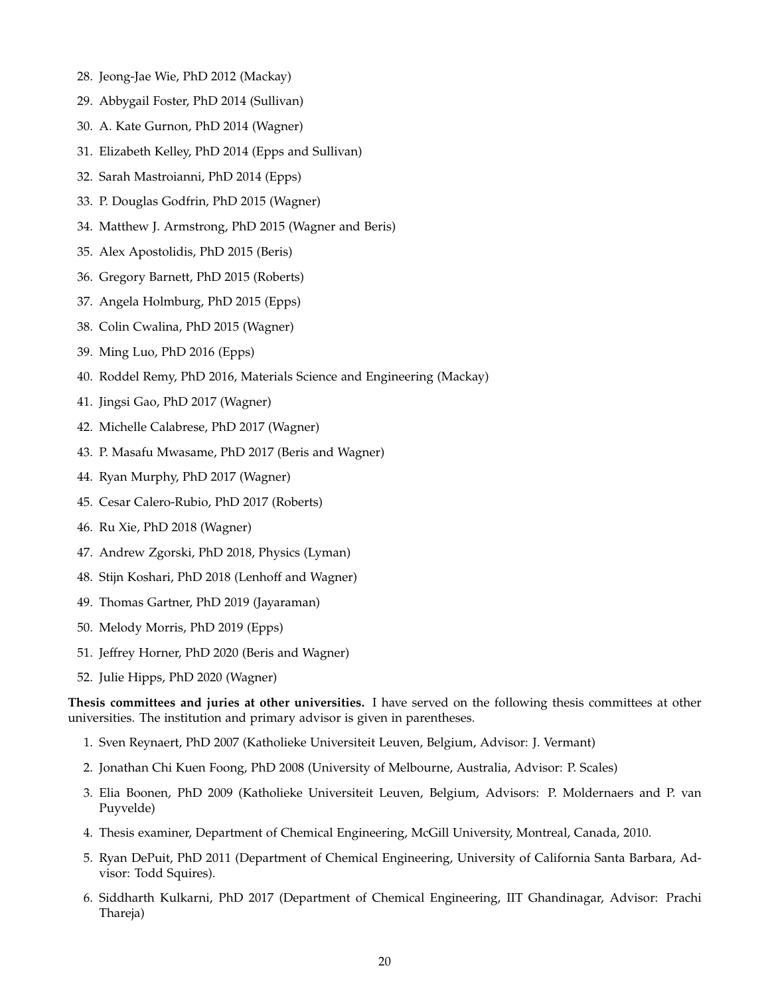- 28. Jeong-Jae Wie, PhD 2012 (Mackay)
- 29. Abbygail Foster, PhD 2014 (Sullivan)
- 30. A. Kate Gurnon, PhD 2014 (Wagner)
- 31. Elizabeth Kelley, PhD 2014 (Epps and Sullivan)
- 32. Sarah Mastroianni, PhD 2014 (Epps)
- 33. P. Douglas Godfrin, PhD 2015 (Wagner)
- 34. Matthew J. Armstrong, PhD 2015 (Wagner and Beris)
- 35. Alex Apostolidis, PhD 2015 (Beris)
- 36. Gregory Barnett, PhD 2015 (Roberts)
- 37. Angela Holmburg, PhD 2015 (Epps)
- 38. Colin Cwalina, PhD 2015 (Wagner)
- 39. Ming Luo, PhD 2016 (Epps)
- 40. Roddel Remy, PhD 2016, Materials Science and Engineering (Mackay)
- 41. Jingsi Gao, PhD 2017 (Wagner)
- 42. Michelle Calabrese, PhD 2017 (Wagner)
- 43. P. Masafu Mwasame, PhD 2017 (Beris and Wagner)
- 44. Ryan Murphy, PhD 2017 (Wagner)
- 45. Cesar Calero-Rubio, PhD 2017 (Roberts)
- 46. Ru Xie, PhD 2018 (Wagner)
- 47. Andrew Zgorski, PhD 2018, Physics (Lyman)
- 48. Stijn Koshari, PhD 2018 (Lenhoff and Wagner)
- 49. Thomas Gartner, PhD 2019 (Jayaraman)
- 50. Melody Morris, PhD 2019 (Epps)
- 51. Jeffrey Horner, PhD 2020 (Beris and Wagner)
- 52. Julie Hipps, PhD 2020 (Wagner)

**Thesis committees and juries at other universities.** I have served on the following thesis committees at other universities. The institution and primary advisor is given in parentheses.

- 1. Sven Reynaert, PhD 2007 (Katholieke Universiteit Leuven, Belgium, Advisor: J. Vermant)
- 2. Jonathan Chi Kuen Foong, PhD 2008 (University of Melbourne, Australia, Advisor: P. Scales)
- 3. Elia Boonen, PhD 2009 (Katholieke Universiteit Leuven, Belgium, Advisors: P. Moldernaers and P. van Puyvelde)
- 4. Thesis examiner, Department of Chemical Engineering, McGill University, Montreal, Canada, 2010.
- 5. Ryan DePuit, PhD 2011 (Department of Chemical Engineering, University of California Santa Barbara, Advisor: Todd Squires).
- 6. Siddharth Kulkarni, PhD 2017 (Department of Chemical Engineering, IIT Ghandinagar, Advisor: Prachi Thareja)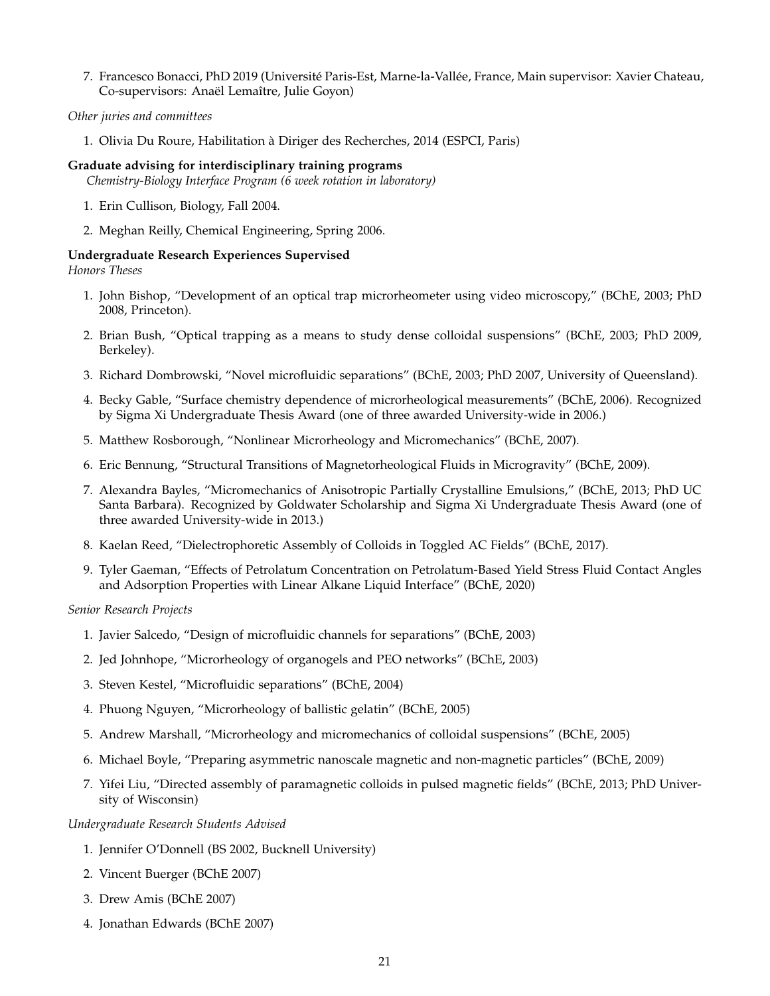7. Francesco Bonacci, PhD 2019 (Université Paris-Est, Marne-la-Vallée, France, Main supervisor: Xavier Chateau, Co-supervisors: Anaël Lemaître, Julie Goyon)

# *Other juries and committees*

1. Olivia Du Roure, Habilitation à Diriger des Recherches, 2014 (ESPCI, Paris)

### **Graduate advising for interdisciplinary training programs**

*Chemistry-Biology Interface Program (6 week rotation in laboratory)*

- 1. Erin Cullison, Biology, Fall 2004.
- 2. Meghan Reilly, Chemical Engineering, Spring 2006.

# **Undergraduate Research Experiences Supervised**

#### *Honors Theses*

- 1. John Bishop, "Development of an optical trap microrheometer using video microscopy," (BChE, 2003; PhD 2008, Princeton).
- 2. Brian Bush, "Optical trapping as a means to study dense colloidal suspensions" (BChE, 2003; PhD 2009, Berkeley).
- 3. Richard Dombrowski, "Novel microfluidic separations" (BChE, 2003; PhD 2007, University of Queensland).
- 4. Becky Gable, "Surface chemistry dependence of microrheological measurements" (BChE, 2006). Recognized by Sigma Xi Undergraduate Thesis Award (one of three awarded University-wide in 2006.)
- 5. Matthew Rosborough, "Nonlinear Microrheology and Micromechanics" (BChE, 2007).
- 6. Eric Bennung, "Structural Transitions of Magnetorheological Fluids in Microgravity" (BChE, 2009).
- 7. Alexandra Bayles, "Micromechanics of Anisotropic Partially Crystalline Emulsions," (BChE, 2013; PhD UC Santa Barbara). Recognized by Goldwater Scholarship and Sigma Xi Undergraduate Thesis Award (one of three awarded University-wide in 2013.)
- 8. Kaelan Reed, "Dielectrophoretic Assembly of Colloids in Toggled AC Fields" (BChE, 2017).
- 9. Tyler Gaeman, "Effects of Petrolatum Concentration on Petrolatum-Based Yield Stress Fluid Contact Angles and Adsorption Properties with Linear Alkane Liquid Interface" (BChE, 2020)

*Senior Research Projects*

- 1. Javier Salcedo, "Design of microfluidic channels for separations" (BChE, 2003)
- 2. Jed Johnhope, "Microrheology of organogels and PEO networks" (BChE, 2003)
- 3. Steven Kestel, "Microfluidic separations" (BChE, 2004)
- 4. Phuong Nguyen, "Microrheology of ballistic gelatin" (BChE, 2005)
- 5. Andrew Marshall, "Microrheology and micromechanics of colloidal suspensions" (BChE, 2005)
- 6. Michael Boyle, "Preparing asymmetric nanoscale magnetic and non-magnetic particles" (BChE, 2009)
- 7. Yifei Liu, "Directed assembly of paramagnetic colloids in pulsed magnetic fields" (BChE, 2013; PhD University of Wisconsin)

*Undergraduate Research Students Advised*

- 1. Jennifer O'Donnell (BS 2002, Bucknell University)
- 2. Vincent Buerger (BChE 2007)
- 3. Drew Amis (BChE 2007)
- 4. Jonathan Edwards (BChE 2007)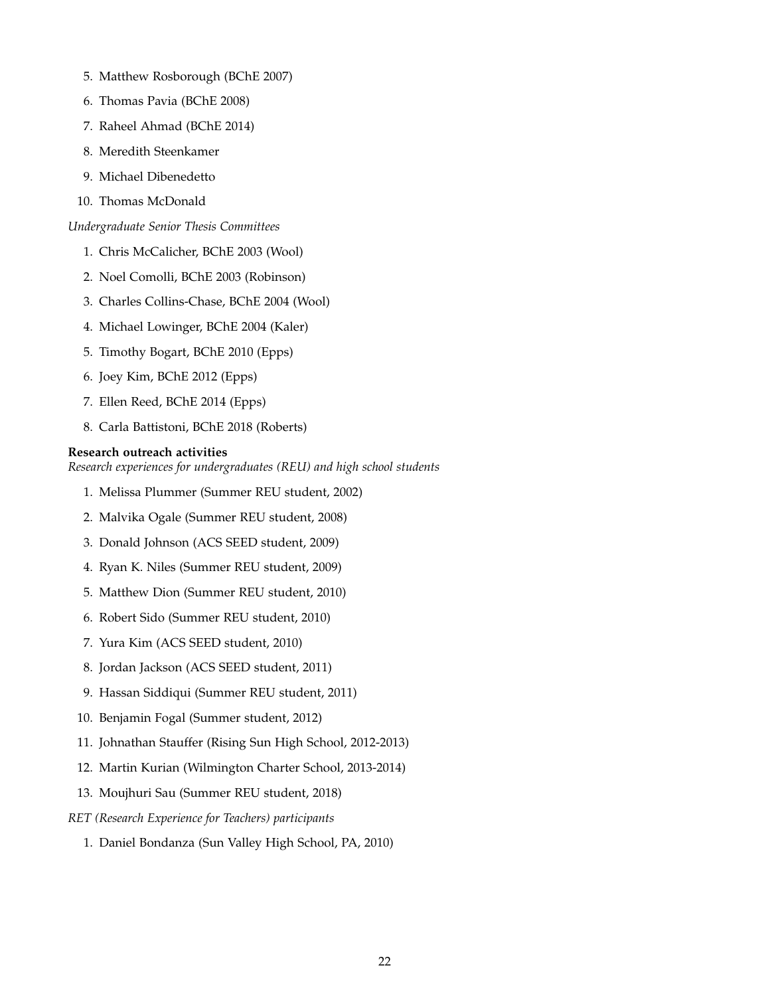- 5. Matthew Rosborough (BChE 2007)
- 6. Thomas Pavia (BChE 2008)
- 7. Raheel Ahmad (BChE 2014)
- 8. Meredith Steenkamer
- 9. Michael Dibenedetto
- 10. Thomas McDonald

*Undergraduate Senior Thesis Committees*

- 1. Chris McCalicher, BChE 2003 (Wool)
- 2. Noel Comolli, BChE 2003 (Robinson)
- 3. Charles Collins-Chase, BChE 2004 (Wool)
- 4. Michael Lowinger, BChE 2004 (Kaler)
- 5. Timothy Bogart, BChE 2010 (Epps)
- 6. Joey Kim, BChE 2012 (Epps)
- 7. Ellen Reed, BChE 2014 (Epps)
- 8. Carla Battistoni, BChE 2018 (Roberts)

#### **Research outreach activities**

*Research experiences for undergraduates (REU) and high school students*

- 1. Melissa Plummer (Summer REU student, 2002)
- 2. Malvika Ogale (Summer REU student, 2008)
- 3. Donald Johnson (ACS SEED student, 2009)
- 4. Ryan K. Niles (Summer REU student, 2009)
- 5. Matthew Dion (Summer REU student, 2010)
- 6. Robert Sido (Summer REU student, 2010)
- 7. Yura Kim (ACS SEED student, 2010)
- 8. Jordan Jackson (ACS SEED student, 2011)
- 9. Hassan Siddiqui (Summer REU student, 2011)
- 10. Benjamin Fogal (Summer student, 2012)
- 11. Johnathan Stauffer (Rising Sun High School, 2012-2013)
- 12. Martin Kurian (Wilmington Charter School, 2013-2014)
- 13. Moujhuri Sau (Summer REU student, 2018)
- *RET (Research Experience for Teachers) participants*
	- 1. Daniel Bondanza (Sun Valley High School, PA, 2010)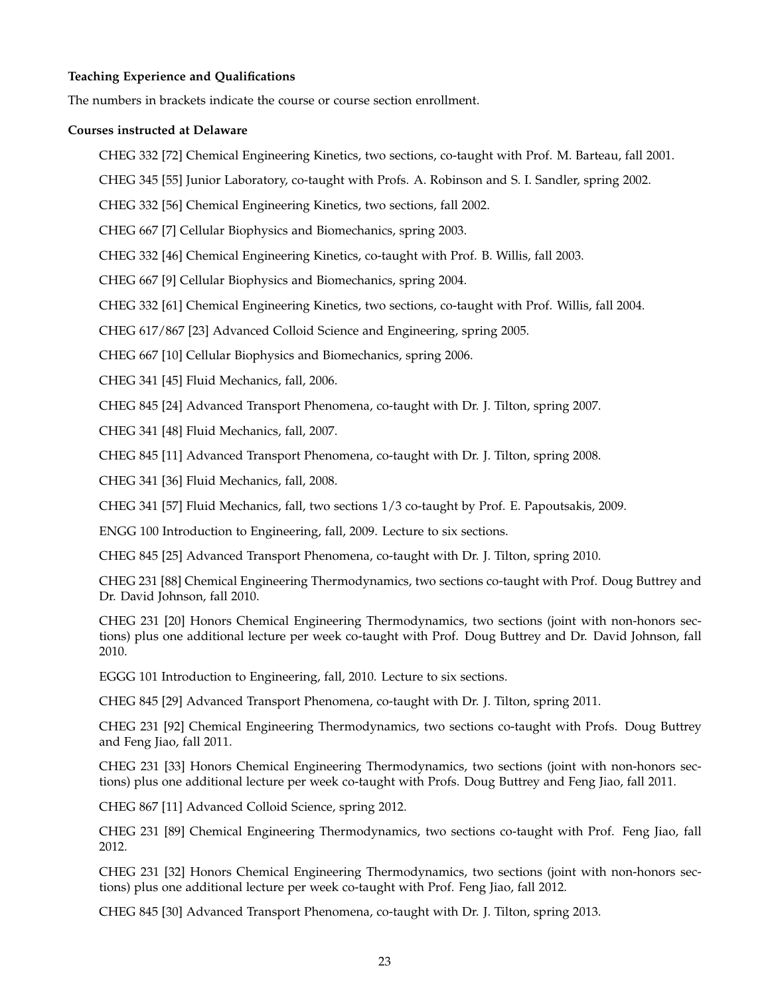# **Teaching Experience and Qualifications**

The numbers in brackets indicate the course or course section enrollment.

#### **Courses instructed at Delaware**

- CHEG 332 [72] Chemical Engineering Kinetics, two sections, co-taught with Prof. M. Barteau, fall 2001.
- CHEG 345 [55] Junior Laboratory, co-taught with Profs. A. Robinson and S. I. Sandler, spring 2002.

CHEG 332 [56] Chemical Engineering Kinetics, two sections, fall 2002.

CHEG 667 [7] Cellular Biophysics and Biomechanics, spring 2003.

CHEG 332 [46] Chemical Engineering Kinetics, co-taught with Prof. B. Willis, fall 2003.

CHEG 667 [9] Cellular Biophysics and Biomechanics, spring 2004.

CHEG 332 [61] Chemical Engineering Kinetics, two sections, co-taught with Prof. Willis, fall 2004.

CHEG 617/867 [23] Advanced Colloid Science and Engineering, spring 2005.

CHEG 667 [10] Cellular Biophysics and Biomechanics, spring 2006.

CHEG 341 [45] Fluid Mechanics, fall, 2006.

CHEG 845 [24] Advanced Transport Phenomena, co-taught with Dr. J. Tilton, spring 2007.

CHEG 341 [48] Fluid Mechanics, fall, 2007.

CHEG 845 [11] Advanced Transport Phenomena, co-taught with Dr. J. Tilton, spring 2008.

CHEG 341 [36] Fluid Mechanics, fall, 2008.

CHEG 341 [57] Fluid Mechanics, fall, two sections 1/3 co-taught by Prof. E. Papoutsakis, 2009.

ENGG 100 Introduction to Engineering, fall, 2009. Lecture to six sections.

CHEG 845 [25] Advanced Transport Phenomena, co-taught with Dr. J. Tilton, spring 2010.

CHEG 231 [88] Chemical Engineering Thermodynamics, two sections co-taught with Prof. Doug Buttrey and Dr. David Johnson, fall 2010.

CHEG 231 [20] Honors Chemical Engineering Thermodynamics, two sections (joint with non-honors sections) plus one additional lecture per week co-taught with Prof. Doug Buttrey and Dr. David Johnson, fall 2010.

EGGG 101 Introduction to Engineering, fall, 2010. Lecture to six sections.

CHEG 845 [29] Advanced Transport Phenomena, co-taught with Dr. J. Tilton, spring 2011.

CHEG 231 [92] Chemical Engineering Thermodynamics, two sections co-taught with Profs. Doug Buttrey and Feng Jiao, fall 2011.

CHEG 231 [33] Honors Chemical Engineering Thermodynamics, two sections (joint with non-honors sections) plus one additional lecture per week co-taught with Profs. Doug Buttrey and Feng Jiao, fall 2011.

CHEG 867 [11] Advanced Colloid Science, spring 2012.

CHEG 231 [89] Chemical Engineering Thermodynamics, two sections co-taught with Prof. Feng Jiao, fall 2012.

CHEG 231 [32] Honors Chemical Engineering Thermodynamics, two sections (joint with non-honors sections) plus one additional lecture per week co-taught with Prof. Feng Jiao, fall 2012.

CHEG 845 [30] Advanced Transport Phenomena, co-taught with Dr. J. Tilton, spring 2013.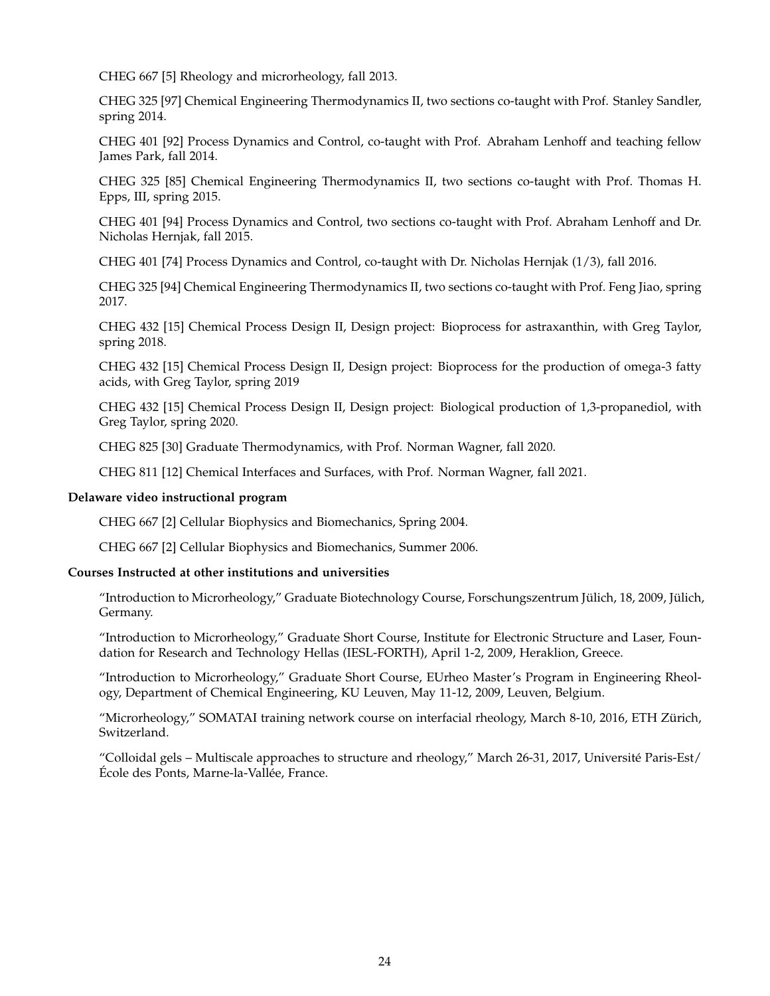CHEG 667 [5] Rheology and microrheology, fall 2013.

CHEG 325 [97] Chemical Engineering Thermodynamics II, two sections co-taught with Prof. Stanley Sandler, spring 2014.

CHEG 401 [92] Process Dynamics and Control, co-taught with Prof. Abraham Lenhoff and teaching fellow James Park, fall 2014.

CHEG 325 [85] Chemical Engineering Thermodynamics II, two sections co-taught with Prof. Thomas H. Epps, III, spring 2015.

CHEG 401 [94] Process Dynamics and Control, two sections co-taught with Prof. Abraham Lenhoff and Dr. Nicholas Hernjak, fall 2015.

CHEG 401 [74] Process Dynamics and Control, co-taught with Dr. Nicholas Hernjak (1/3), fall 2016.

CHEG 325 [94] Chemical Engineering Thermodynamics II, two sections co-taught with Prof. Feng Jiao, spring 2017.

CHEG 432 [15] Chemical Process Design II, Design project: Bioprocess for astraxanthin, with Greg Taylor, spring 2018.

CHEG 432 [15] Chemical Process Design II, Design project: Bioprocess for the production of omega-3 fatty acids, with Greg Taylor, spring 2019

CHEG 432 [15] Chemical Process Design II, Design project: Biological production of 1,3-propanediol, with Greg Taylor, spring 2020.

CHEG 825 [30] Graduate Thermodynamics, with Prof. Norman Wagner, fall 2020.

CHEG 811 [12] Chemical Interfaces and Surfaces, with Prof. Norman Wagner, fall 2021.

#### **Delaware video instructional program**

CHEG 667 [2] Cellular Biophysics and Biomechanics, Spring 2004.

CHEG 667 [2] Cellular Biophysics and Biomechanics, Summer 2006.

#### **Courses Instructed at other institutions and universities**

"Introduction to Microrheology," Graduate Biotechnology Course, Forschungszentrum Jülich, 18, 2009, Jülich, Germany.

"Introduction to Microrheology," Graduate Short Course, Institute for Electronic Structure and Laser, Foundation for Research and Technology Hellas (IESL-FORTH), April 1-2, 2009, Heraklion, Greece.

"Introduction to Microrheology," Graduate Short Course, EUrheo Master's Program in Engineering Rheology, Department of Chemical Engineering, KU Leuven, May 11-12, 2009, Leuven, Belgium.

"Microrheology," SOMATAI training network course on interfacial rheology, March 8-10, 2016, ETH Zürich, Switzerland.

"Colloidal gels – Multiscale approaches to structure and rheology," March 26-31, 2017, Université Paris-Est/ École des Ponts, Marne-la-Vallée, France.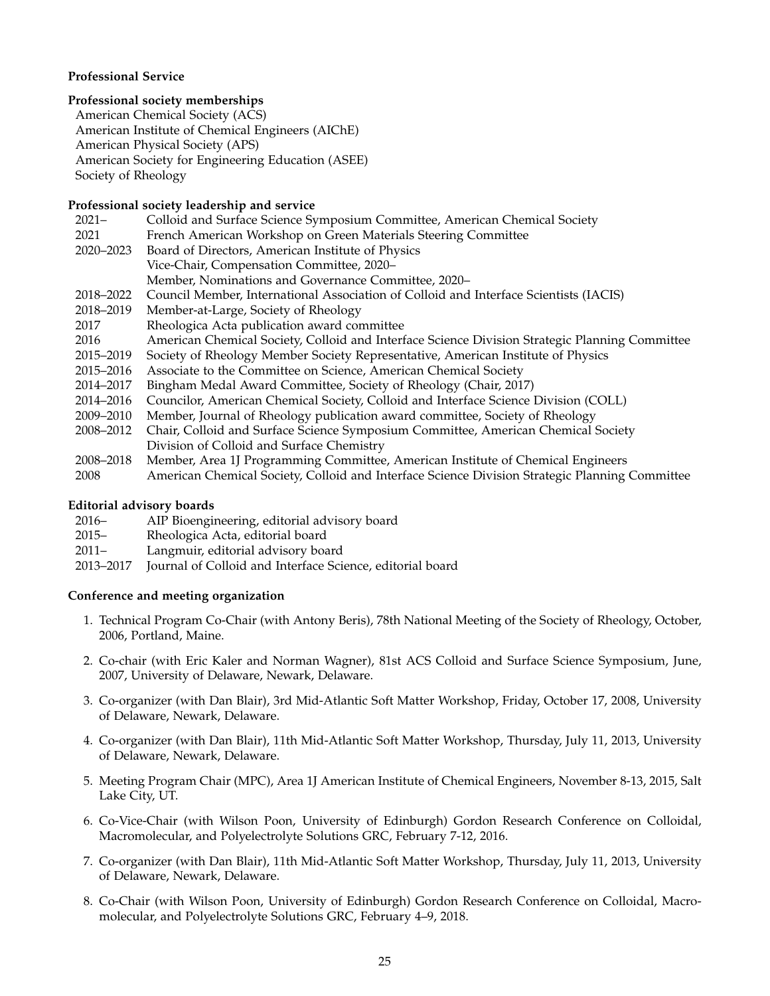# **Professional Service**

# **Professional society memberships**

American Chemical Society (ACS) American Institute of Chemical Engineers (AIChE) American Physical Society (APS) American Society for Engineering Education (ASEE) Society of Rheology

# **Professional society leadership and service**

| $2021 -$  | Colloid and Surface Science Symposium Committee, American Chemical Society                     |
|-----------|------------------------------------------------------------------------------------------------|
| 2021      | French American Workshop on Green Materials Steering Committee                                 |
| 2020–2023 | Board of Directors, American Institute of Physics                                              |
|           | Vice-Chair, Compensation Committee, 2020-                                                      |
|           | Member, Nominations and Governance Committee, 2020-                                            |
| 2018–2022 | Council Member, International Association of Colloid and Interface Scientists (IACIS)          |
| 2018–2019 | Member-at-Large, Society of Rheology                                                           |
| 2017      | Rheologica Acta publication award committee                                                    |
| 2016      | American Chemical Society, Colloid and Interface Science Division Strategic Planning Committee |
| 2015–2019 | Society of Rheology Member Society Representative, American Institute of Physics               |
| 2015–2016 | Associate to the Committee on Science, American Chemical Society                               |
| 2014–2017 | Bingham Medal Award Committee, Society of Rheology (Chair, 2017)                               |
| 2014–2016 | Councilor, American Chemical Society, Colloid and Interface Science Division (COLL)            |
| 2009–2010 | Member, Journal of Rheology publication award committee, Society of Rheology                   |
| 2008-2012 | Chair, Colloid and Surface Science Symposium Committee, American Chemical Society              |
|           | Division of Colloid and Surface Chemistry                                                      |
| 2008–2018 | Member, Area 1J Programming Committee, American Institute of Chemical Engineers                |
| 2008      | American Chemical Society, Colloid and Interface Science Division Strategic Planning Committee |

# **Editorial advisory boards**

- 2016– AIP Bioengineering, editorial advisory board
- 2015– Rheologica Acta, editorial board
- 2011– Langmuir, editorial advisory board
- 2013–2017 Journal of Colloid and Interface Science, editorial board

# **Conference and meeting organization**

- 1. Technical Program Co-Chair (with Antony Beris), 78th National Meeting of the Society of Rheology, October, 2006, Portland, Maine.
- 2. Co-chair (with Eric Kaler and Norman Wagner), 81st ACS Colloid and Surface Science Symposium, June, 2007, University of Delaware, Newark, Delaware.
- 3. Co-organizer (with Dan Blair), 3rd Mid-Atlantic Soft Matter Workshop, Friday, October 17, 2008, University of Delaware, Newark, Delaware.
- 4. Co-organizer (with Dan Blair), 11th Mid-Atlantic Soft Matter Workshop, Thursday, July 11, 2013, University of Delaware, Newark, Delaware.
- 5. Meeting Program Chair (MPC), Area 1J American Institute of Chemical Engineers, November 8-13, 2015, Salt Lake City, UT.
- 6. Co-Vice-Chair (with Wilson Poon, University of Edinburgh) Gordon Research Conference on Colloidal, Macromolecular, and Polyelectrolyte Solutions GRC, February 7-12, 2016.
- 7. Co-organizer (with Dan Blair), 11th Mid-Atlantic Soft Matter Workshop, Thursday, July 11, 2013, University of Delaware, Newark, Delaware.
- 8. Co-Chair (with Wilson Poon, University of Edinburgh) Gordon Research Conference on Colloidal, Macromolecular, and Polyelectrolyte Solutions GRC, February 4–9, 2018.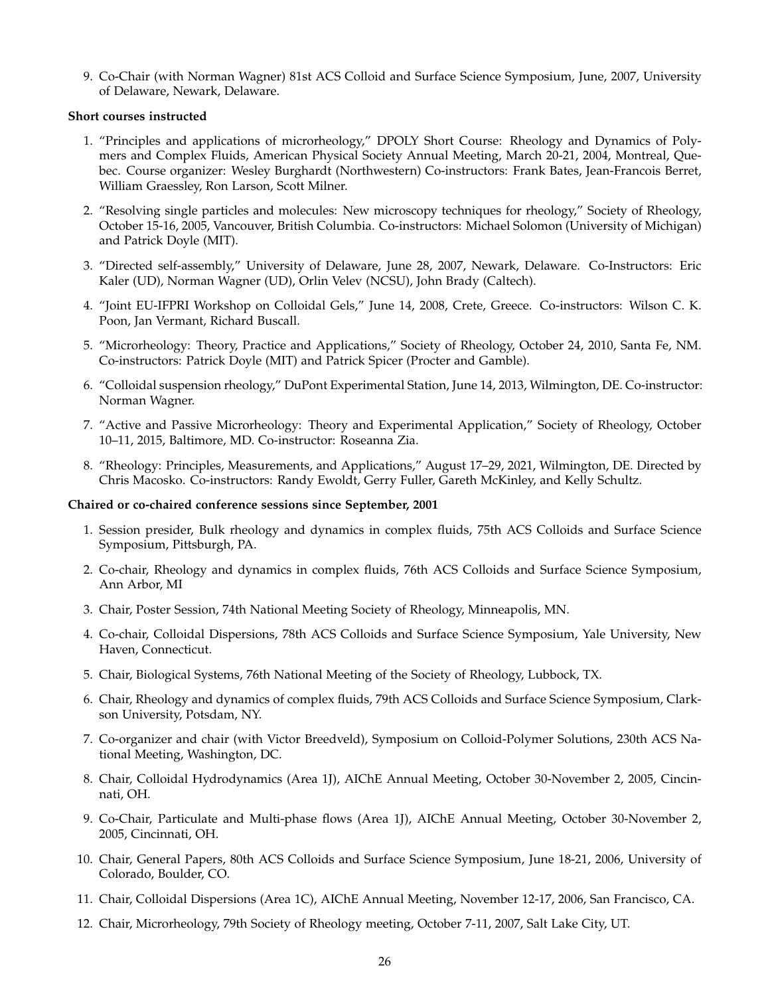9. Co-Chair (with Norman Wagner) 81st ACS Colloid and Surface Science Symposium, June, 2007, University of Delaware, Newark, Delaware.

### **Short courses instructed**

- 1. "Principles and applications of microrheology," DPOLY Short Course: Rheology and Dynamics of Polymers and Complex Fluids, American Physical Society Annual Meeting, March 20-21, 2004, Montreal, Quebec. Course organizer: Wesley Burghardt (Northwestern) Co-instructors: Frank Bates, Jean-Francois Berret, William Graessley, Ron Larson, Scott Milner.
- 2. "Resolving single particles and molecules: New microscopy techniques for rheology," Society of Rheology, October 15-16, 2005, Vancouver, British Columbia. Co-instructors: Michael Solomon (University of Michigan) and Patrick Doyle (MIT).
- 3. "Directed self-assembly," University of Delaware, June 28, 2007, Newark, Delaware. Co-Instructors: Eric Kaler (UD), Norman Wagner (UD), Orlin Velev (NCSU), John Brady (Caltech).
- 4. "Joint EU-IFPRI Workshop on Colloidal Gels," June 14, 2008, Crete, Greece. Co-instructors: Wilson C. K. Poon, Jan Vermant, Richard Buscall.
- 5. "Microrheology: Theory, Practice and Applications," Society of Rheology, October 24, 2010, Santa Fe, NM. Co-instructors: Patrick Doyle (MIT) and Patrick Spicer (Procter and Gamble).
- 6. "Colloidal suspension rheology," DuPont Experimental Station, June 14, 2013, Wilmington, DE. Co-instructor: Norman Wagner.
- 7. "Active and Passive Microrheology: Theory and Experimental Application," Society of Rheology, October 10–11, 2015, Baltimore, MD. Co-instructor: Roseanna Zia.
- 8. "Rheology: Principles, Measurements, and Applications," August 17–29, 2021, Wilmington, DE. Directed by Chris Macosko. Co-instructors: Randy Ewoldt, Gerry Fuller, Gareth McKinley, and Kelly Schultz.

#### **Chaired or co-chaired conference sessions since September, 2001**

- 1. Session presider, Bulk rheology and dynamics in complex fluids, 75th ACS Colloids and Surface Science Symposium, Pittsburgh, PA.
- 2. Co-chair, Rheology and dynamics in complex fluids, 76th ACS Colloids and Surface Science Symposium, Ann Arbor, MI
- 3. Chair, Poster Session, 74th National Meeting Society of Rheology, Minneapolis, MN.
- 4. Co-chair, Colloidal Dispersions, 78th ACS Colloids and Surface Science Symposium, Yale University, New Haven, Connecticut.
- 5. Chair, Biological Systems, 76th National Meeting of the Society of Rheology, Lubbock, TX.
- 6. Chair, Rheology and dynamics of complex fluids, 79th ACS Colloids and Surface Science Symposium, Clarkson University, Potsdam, NY.
- 7. Co-organizer and chair (with Victor Breedveld), Symposium on Colloid-Polymer Solutions, 230th ACS National Meeting, Washington, DC.
- 8. Chair, Colloidal Hydrodynamics (Area 1J), AIChE Annual Meeting, October 30-November 2, 2005, Cincinnati, OH.
- 9. Co-Chair, Particulate and Multi-phase flows (Area 1J), AIChE Annual Meeting, October 30-November 2, 2005, Cincinnati, OH.
- 10. Chair, General Papers, 80th ACS Colloids and Surface Science Symposium, June 18-21, 2006, University of Colorado, Boulder, CO.
- 11. Chair, Colloidal Dispersions (Area 1C), AIChE Annual Meeting, November 12-17, 2006, San Francisco, CA.
- 12. Chair, Microrheology, 79th Society of Rheology meeting, October 7-11, 2007, Salt Lake City, UT.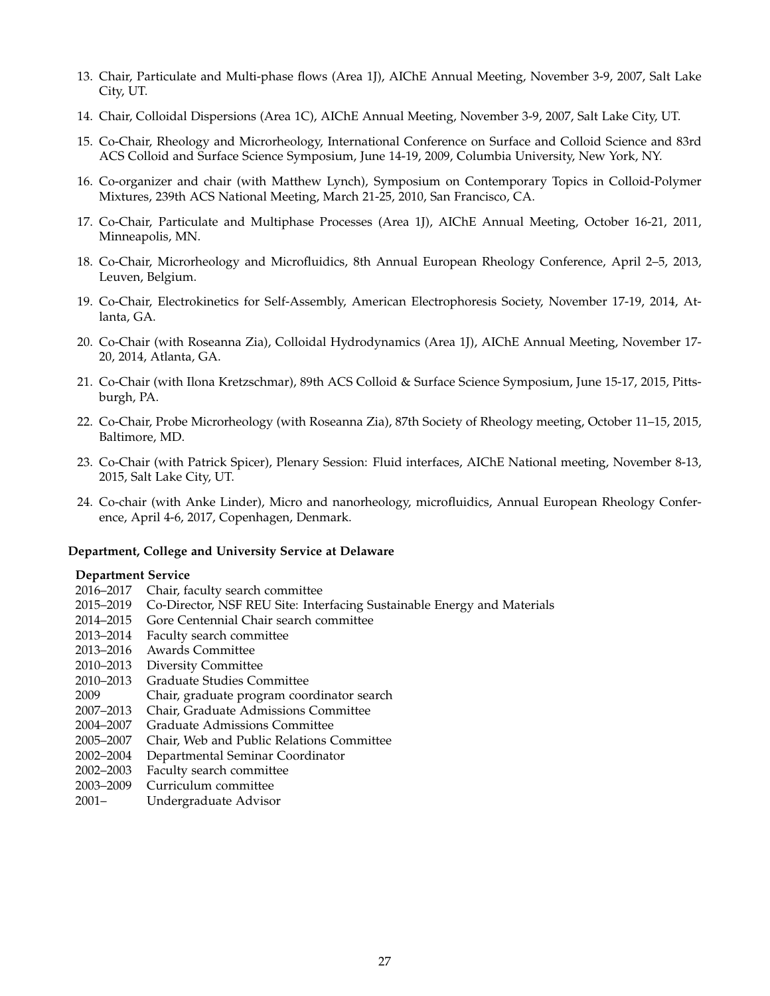- 13. Chair, Particulate and Multi-phase flows (Area 1J), AIChE Annual Meeting, November 3-9, 2007, Salt Lake City, UT.
- 14. Chair, Colloidal Dispersions (Area 1C), AIChE Annual Meeting, November 3-9, 2007, Salt Lake City, UT.
- 15. Co-Chair, Rheology and Microrheology, International Conference on Surface and Colloid Science and 83rd ACS Colloid and Surface Science Symposium, June 14-19, 2009, Columbia University, New York, NY.
- 16. Co-organizer and chair (with Matthew Lynch), Symposium on Contemporary Topics in Colloid-Polymer Mixtures, 239th ACS National Meeting, March 21-25, 2010, San Francisco, CA.
- 17. Co-Chair, Particulate and Multiphase Processes (Area 1J), AIChE Annual Meeting, October 16-21, 2011, Minneapolis, MN.
- 18. Co-Chair, Microrheology and Microfluidics, 8th Annual European Rheology Conference, April 2–5, 2013, Leuven, Belgium.
- 19. Co-Chair, Electrokinetics for Self-Assembly, American Electrophoresis Society, November 17-19, 2014, Atlanta, GA.
- 20. Co-Chair (with Roseanna Zia), Colloidal Hydrodynamics (Area 1J), AIChE Annual Meeting, November 17- 20, 2014, Atlanta, GA.
- 21. Co-Chair (with Ilona Kretzschmar), 89th ACS Colloid & Surface Science Symposium, June 15-17, 2015, Pittsburgh, PA.
- 22. Co-Chair, Probe Microrheology (with Roseanna Zia), 87th Society of Rheology meeting, October 11–15, 2015, Baltimore, MD.
- 23. Co-Chair (with Patrick Spicer), Plenary Session: Fluid interfaces, AIChE National meeting, November 8-13, 2015, Salt Lake City, UT.
- 24. Co-chair (with Anke Linder), Micro and nanorheology, microfluidics, Annual European Rheology Conference, April 4-6, 2017, Copenhagen, Denmark.

#### **Department, College and University Service at Delaware**

#### **Department Service**

- 2016–2017 Chair, faculty search committee
- 2015–2019 Co-Director, NSF REU Site: Interfacing Sustainable Energy and Materials
- 2014–2015 Gore Centennial Chair search committee
- 2013–2014 Faculty search committee
- 2013–2016 Awards Committee
- 2010–2013 Diversity Committee
- 2010–2013 Graduate Studies Committee
- 2009 Chair, graduate program coordinator search
- 2007–2013 Chair, Graduate Admissions Committee
- 2004–2007 Graduate Admissions Committee
- 2005–2007 Chair, Web and Public Relations Committee
- 2002–2004 Departmental Seminar Coordinator
- 2002–2003 Faculty search committee
- 2003–2009 Curriculum committee
- 2001– Undergraduate Advisor